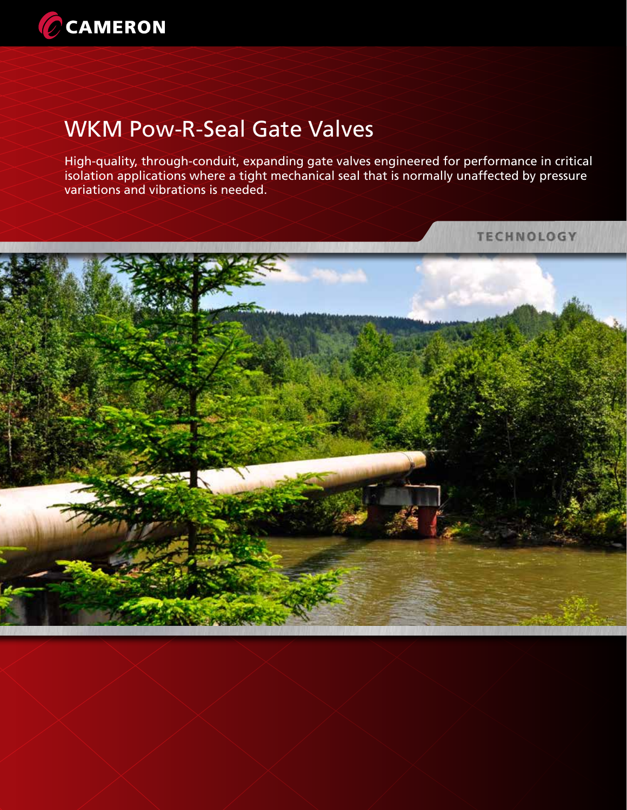

# WKM Pow-R-Seal Gate Valves

High-quality, through-conduit, expanding gate valves engineered for performance in critical isolation applications where a tight mechanical seal that is normally unaffected by pressure variations and vibrations is needed.

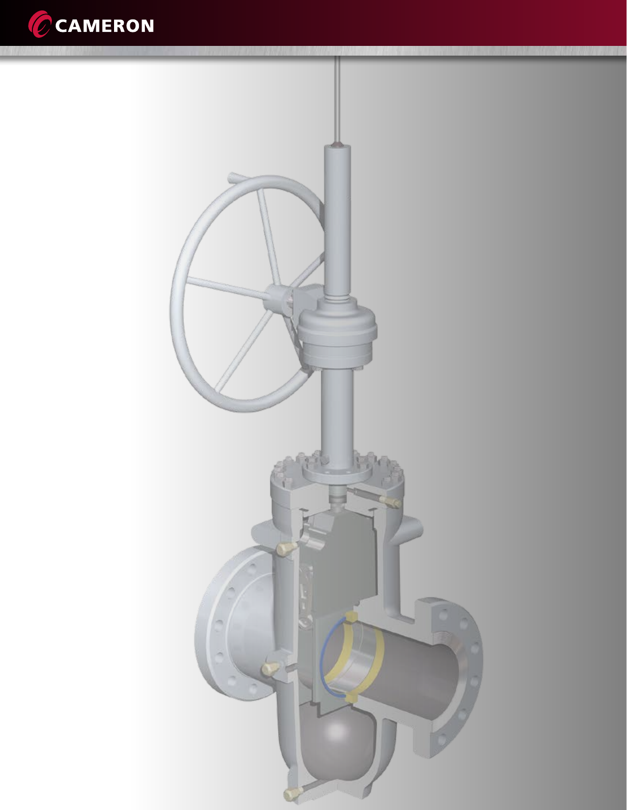

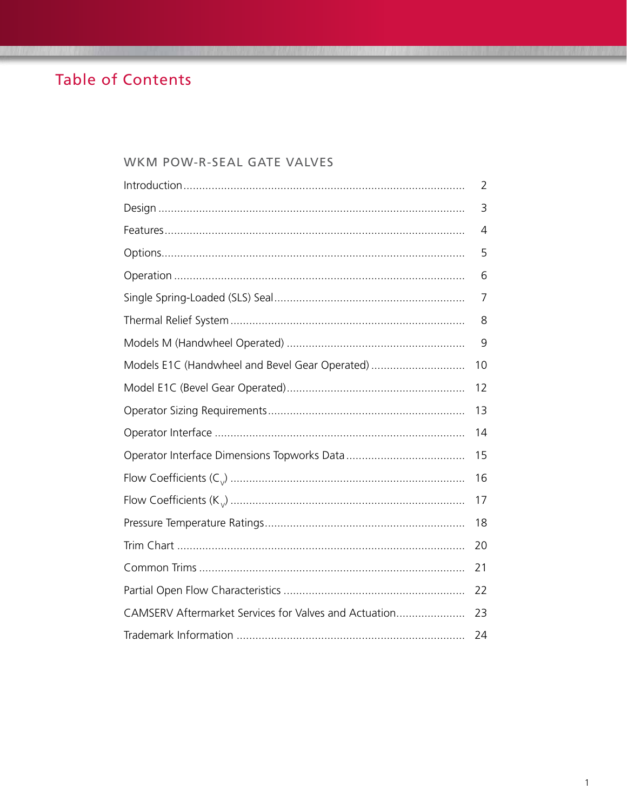# **Table of Contents**

#### WKM POW-R-SEAL GATE VALVES

|                                                       | 2  |
|-------------------------------------------------------|----|
|                                                       | 3  |
|                                                       | 4  |
|                                                       | 5  |
|                                                       | 6  |
|                                                       | 7  |
|                                                       | 8  |
|                                                       | 9  |
| Models E1C (Handwheel and Bevel Gear Operated)        | 10 |
|                                                       | 12 |
|                                                       | 13 |
|                                                       | 14 |
|                                                       | 15 |
|                                                       | 16 |
|                                                       | 17 |
|                                                       | 18 |
|                                                       | 20 |
|                                                       | 21 |
|                                                       | 22 |
| CAMSERV Aftermarket Services for Valves and Actuation | 23 |
|                                                       | 24 |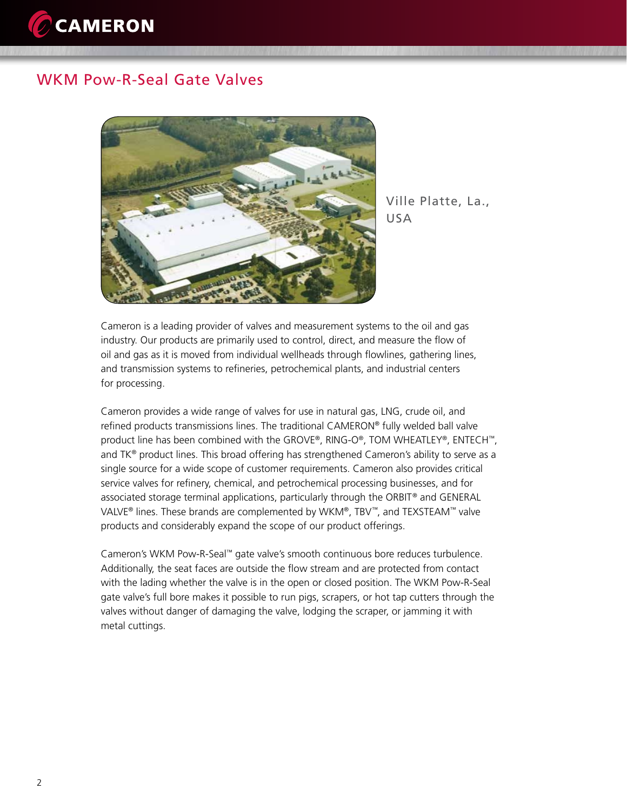# WKM Pow-R-Seal Gate Valves



Ville Platte, La., USA

Cameron is a leading provider of valves and measurement systems to the oil and gas industry. Our products are primarily used to control, direct, and measure the flow of oil and gas as it is moved from individual wellheads through flowlines, gathering lines, and transmission systems to refineries, petrochemical plants, and industrial centers for processing.

Cameron provides a wide range of valves for use in natural gas, LNG, crude oil, and refined products transmissions lines. The traditional CAMERON® fully welded ball valve product line has been combined with the GROVE®, RING-O®, TOM WHEATLEY®, ENTECH™, and TK® product lines. This broad offering has strengthened Cameron's ability to serve as a single source for a wide scope of customer requirements. Cameron also provides critical service valves for refinery, chemical, and petrochemical processing businesses, and for associated storage terminal applications, particularly through the ORBIT® and GENERAL VALVE® lines. These brands are complemented by WKM®, TBV™, and TEXSTEAM™ valve products and considerably expand the scope of our product offerings.

Cameron's WKM Pow-R-Seal™ gate valve's smooth continuous bore reduces turbulence. Additionally, the seat faces are outside the flow stream and are protected from contact with the lading whether the valve is in the open or closed position. The WKM Pow-R-Seal gate valve's full bore makes it possible to run pigs, scrapers, or hot tap cutters through the valves without danger of damaging the valve, lodging the scraper, or jamming it with metal cuttings.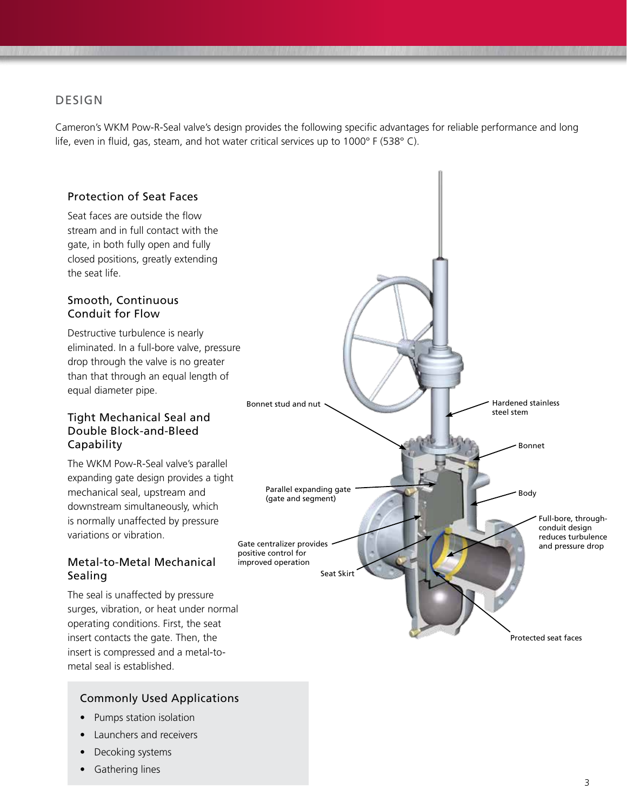#### DESIGN

Cameron's WKM Pow-R-Seal valve's design provides the following specific advantages for reliable performance and long life, even in fluid, gas, steam, and hot water critical services up to  $1000^\circ$  F (538 $^\circ$  C).

#### Protection of Seat Faces

Seat faces are outside the flow stream and in full contact with the gate, in both fully open and fully closed positions, greatly extending the seat life.

#### Smooth, Continuous Conduit for Flow

Destructive turbulence is nearly eliminated. In a full-bore valve, pressure drop through the valve is no greater than that through an equal length of equal diameter pipe.

#### Tight Mechanical Seal and Double Block-and-Bleed **Capability**

The WKM Pow-R-Seal valve's parallel expanding gate design provides a tight mechanical seal, upstream and downstream simultaneously, which is normally unaffected by pressure variations or vibration.

#### Metal-to-Metal Mechanical Sealing

The seal is unaffected by pressure surges, vibration, or heat under normal operating conditions. First, the seat insert contacts the gate. Then, the insert is compressed and a metal-tometal seal is established.

#### Commonly Used Applications

- Pumps station isolation
- Launchers and receivers
- Decoking systems
- Gathering lines



Protected seat faces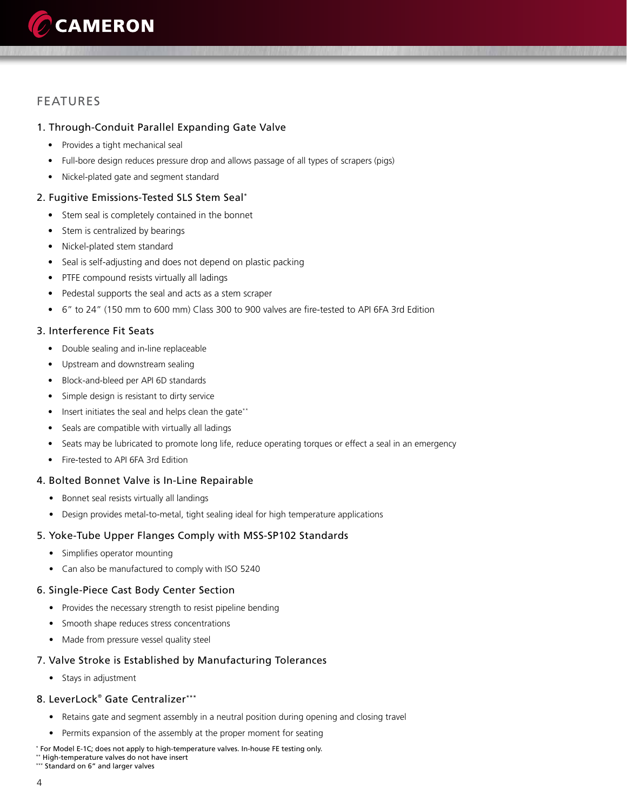

#### FEATURES

#### 1. Through-Conduit Parallel Expanding Gate Valve

- Provides a tight mechanical seal
- Full-bore design reduces pressure drop and allows passage of all types of scrapers (pigs)
- Nickel-plated gate and segment standard

#### 2. Fugitive Emissions-Tested SLS Stem Seal\*

- Stem seal is completely contained in the bonnet
- Stem is centralized by bearings
- Nickel-plated stem standard
- Seal is self-adjusting and does not depend on plastic packing
- PTFE compound resists virtually all ladings
- Pedestal supports the seal and acts as a stem scraper
- 6" to 24" (150 mm to 600 mm) Class 300 to 900 valves are fire-tested to API 6FA 3rd Edition

#### 3. Interference Fit Seats

- Double sealing and in-line replaceable
- Upstream and downstream sealing
- Block-and-bleed per API 6D standards
- Simple design is resistant to dirty service
- Insert initiates the seal and helps clean the gate\*\*
- Seals are compatible with virtually all ladings
- Seats may be lubricated to promote long life, reduce operating torques or effect a seal in an emergency
- Fire-tested to API 6FA 3rd Edition

#### 4. Bolted Bonnet Valve is In-Line Repairable

- Bonnet seal resists virtually all landings
- Design provides metal-to-metal, tight sealing ideal for high temperature applications

#### 5. Yoke-Tube Upper Flanges Comply with MSS-SP102 Standards

- Simplifies operator mounting
- Can also be manufactured to comply with ISO 5240

#### 6. Single-Piece Cast Body Center Section

- Provides the necessary strength to resist pipeline bending
- Smooth shape reduces stress concentrations
- Made from pressure vessel quality steel

#### 7. Valve Stroke is Established by Manufacturing Tolerances

• Stays in adjustment

#### 8. LeverLock® Gate Centralizer\*\*\*

- Retains gate and segment assembly in a neutral position during opening and closing travel
- Permits expansion of the assembly at the proper moment for seating

\* For Model E-1C; does not apply to high-temperature valves. In-house FE testing only. \*\* High-temperature valves do not have insert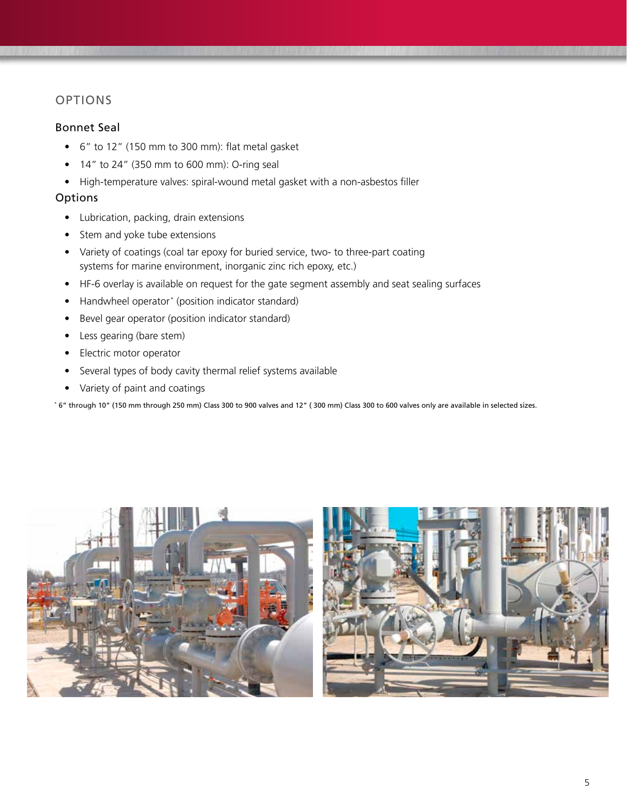#### OPTIONS

#### Bonnet Seal

- 6" to 12" (150 mm to 300 mm): flat metal gasket
- 14" to 24" (350 mm to 600 mm): O-ring seal
- High-temperature valves: spiral-wound metal gasket with a non-asbestos filler

#### **Options**

- Lubrication, packing, drain extensions
- Stem and yoke tube extensions
- Variety of coatings (coal tar epoxy for buried service, two- to three-part coating systems for marine environment, inorganic zinc rich epoxy, etc.)
- HF-6 overlay is available on request for the gate segment assembly and seat sealing surfaces
- Handwheel operator\* (position indicator standard)
- Bevel gear operator (position indicator standard)
- Less gearing (bare stem)
- Electric motor operator
- Several types of body cavity thermal relief systems available
- Variety of paint and coatings
- \* 6" through 10" (150 mm through 250 mm) Class 300 to 900 valves and 12" ( 300 mm) Class 300 to 600 valves only are available in selected sizes.



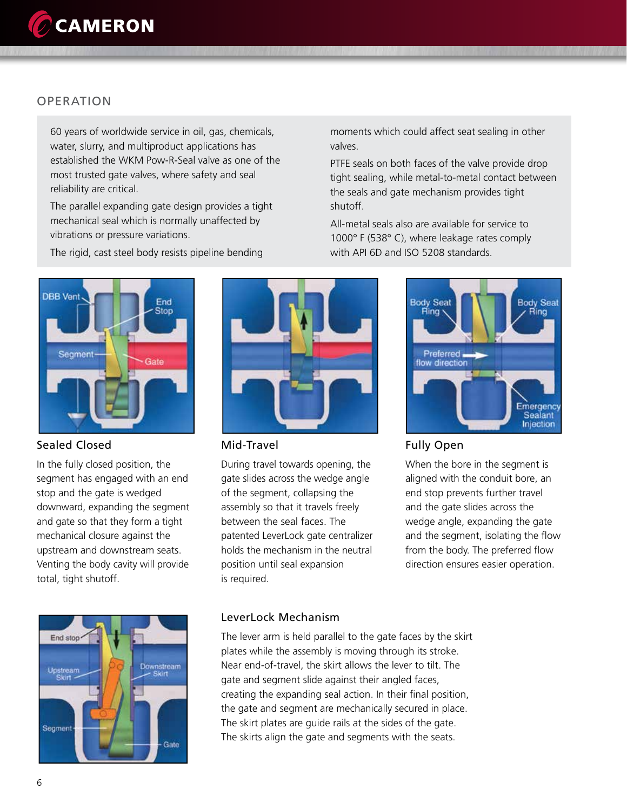

#### **OPERATION**

60 years of worldwide service in oil, gas, chemicals, water, slurry, and multiproduct applications has established the WKM Pow-R-Seal valve as one of the most trusted gate valves, where safety and seal reliability are critical.

The parallel expanding gate design provides a tight mechanical seal which is normally unaffected by vibrations or pressure variations.

The rigid, cast steel body resists pipeline bending



Sealed Closed

In the fully closed position, the segment has engaged with an end stop and the gate is wedged downward, expanding the segment and gate so that they form a tight mechanical closure against the upstream and downstream seats. Venting the body cavity will provide total, tight shutoff.





valves.

shutoff.

Mid-Travel

During travel towards opening, the gate slides across the wedge angle of the segment, collapsing the assembly so that it travels freely between the seal faces. The patented LeverLock gate centralizer holds the mechanism in the neutral position until seal expansion is required.

with API 6D and ISO 5208 standards. **Body Seat** Ring Ring

moments which could affect seat sealing in other

PTFE seals on both faces of the valve provide drop tight sealing, while metal-to-metal contact between

the seals and gate mechanism provides tight

All-metal seals also are available for service to 1000° F (538° C), where leakage rates comply



Fully Open

When the bore in the segment is aligned with the conduit bore, an end stop prevents further travel and the gate slides across the wedge angle, expanding the gate and the segment, isolating the flow from the body. The preferred flow direction ensures easier operation.

#### LeverLock Mechanism

The lever arm is held parallel to the gate faces by the skirt plates while the assembly is moving through its stroke. Near end-of-travel, the skirt allows the lever to tilt. The gate and segment slide against their angled faces, creating the expanding seal action. In their final position, the gate and segment are mechanically secured in place. The skirt plates are guide rails at the sides of the gate. The skirts align the gate and segments with the seats.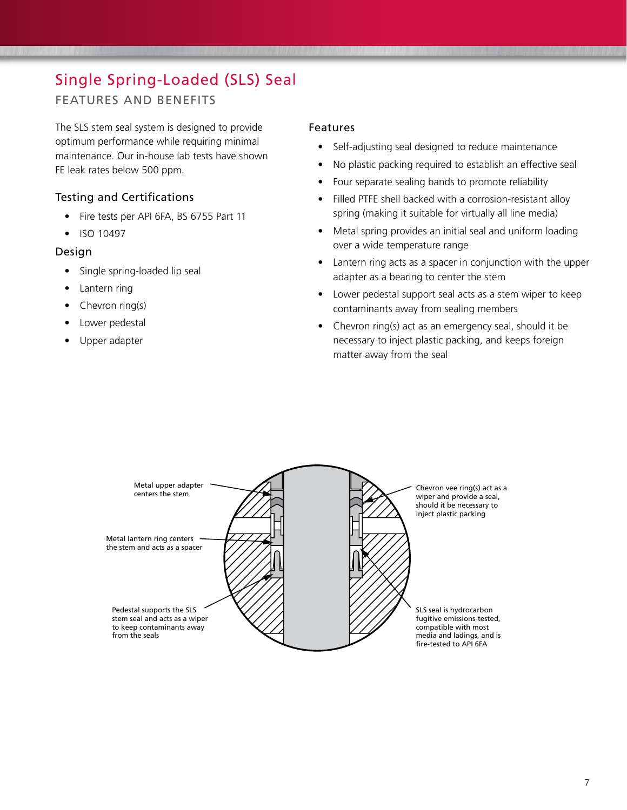# Single Spring-Loaded (SLS) Seal

## FEATURES AND BENEFITS

The SLS stem seal system is designed to provide optimum performance while requiring minimal maintenance. Our in-house lab tests have shown FE leak rates below 500 ppm.

#### Testing and Certifications

- Fire tests per API 6FA, BS 6755 Part 11
- ISO 10497

#### Design

- Single spring-loaded lip seal
- Lantern ring
- Chevron ring(s)
- Lower pedestal
- Upper adapter

#### Features

- Self-adjusting seal designed to reduce maintenance
- No plastic packing required to establish an effective seal
- Four separate sealing bands to promote reliability
- Filled PTFE shell backed with a corrosion-resistant alloy spring (making it suitable for virtually all line media)
- Metal spring provides an initial seal and uniform loading over a wide temperature range
- Lantern ring acts as a spacer in conjunction with the upper adapter as a bearing to center the stem
- Lower pedestal support seal acts as a stem wiper to keep contaminants away from sealing members
- Chevron ring(s) act as an emergency seal, should it be necessary to inject plastic packing, and keeps foreign matter away from the seal

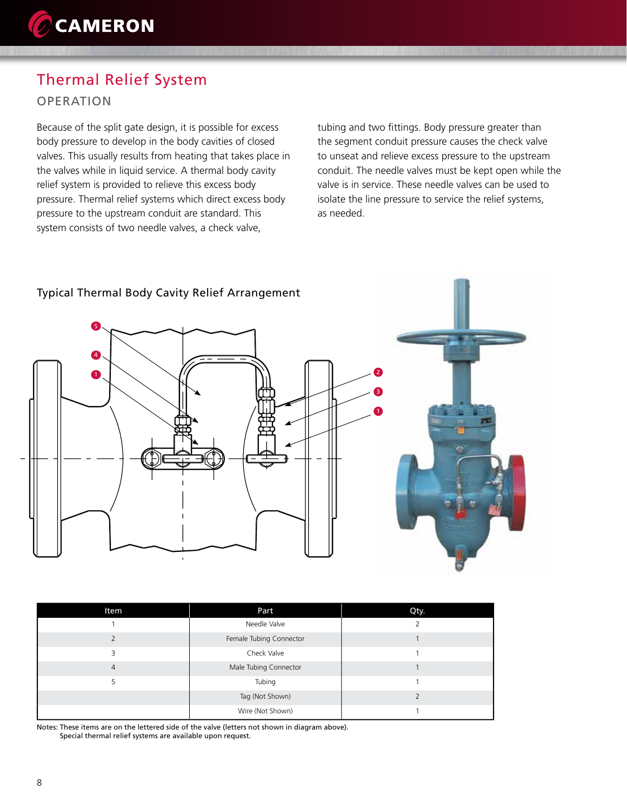# Thermal Relief System OPERATION

Because of the split gate design, it is possible for excess body pressure to develop in the body cavities of closed valves. This usually results from heating that takes place in the valves while in liquid service. A thermal body cavity relief system is provided to relieve this excess body pressure. Thermal relief systems which direct excess body pressure to the upstream conduit are standard. This system consists of two needle valves, a check valve,

tubing and two fittings. Body pressure greater than the segment conduit pressure causes the check valve to unseat and relieve excess pressure to the upstream conduit. The needle valves must be kept open while the valve is in service. These needle valves can be used to isolate the line pressure to service the relief systems, as needed.



| Item           | Part                    | Qty.           |
|----------------|-------------------------|----------------|
|                | Needle Valve            | C.             |
| $\overline{2}$ | Female Tubing Connector |                |
| 3              | Check Valve             |                |
| $\overline{4}$ | Male Tubing Connector   |                |
| 5              | Tubing                  |                |
|                | Tag (Not Shown)         | $\overline{2}$ |
|                | Wire (Not Shown)        |                |

Notes: These items are on the lettered side of the valve (letters not shown in diagram above). Special thermal relief systems are available upon request.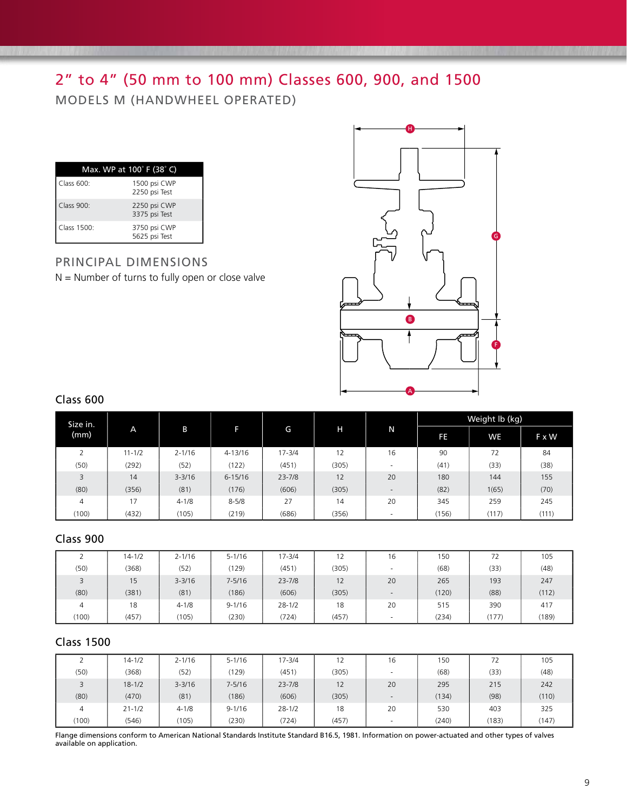# MODELS M (HANDWHEEL OPERATED) 2" to 4" (50 mm to 100 mm) Classes 600, 900, and 1500

|             | Max. WP at 100° F (38° C)     |
|-------------|-------------------------------|
| Class 600:  | 1500 psi CWP<br>2250 psi Test |
| Class 900:  | 2250 psi CWP<br>3375 psi Test |
| Class 1500: | 3750 psi CWP<br>5625 psi Test |

#### PRINCIPAL DIMENSIONS  $N =$  Number of turns to fully open or close valve



#### Class 600

| Size in.       |            |            |             |            |       |                          | Weight lb (kg) |       |              |  |  |
|----------------|------------|------------|-------------|------------|-------|--------------------------|----------------|-------|--------------|--|--|
| (mm)           | A          | B          | F           | G          | н     | N                        | FE             | WE    | <b>F</b> x W |  |  |
| $\overline{ }$ | $11 - 1/2$ | $2 - 1/16$ | $4 - 13/16$ | $17 - 3/4$ | 12    | 16                       | 90             | 72    | 84           |  |  |
| (50)           | (292)      | (52)       | (122)       | (451)      | (305) |                          | (41)           | (33)  | (38)         |  |  |
|                | 14         | $3 - 3/16$ | $6 - 15/16$ | $23 - 7/8$ | 12    | 20                       | 180            | 144   | 155          |  |  |
| (80)           | (356)      | (81)       | (176)       | (606)      | (305) | $\overline{\phantom{a}}$ | (82)           | 1(65) | (70)         |  |  |
| 4              | 17         | $4 - 1/8$  | $8 - 5/8$   | 27         | 14    | 20                       | 345            | 259   | 245          |  |  |
| (100)          | (432)      | (105)      | (219)       | (686)      | (356) | $\overline{\phantom{a}}$ | (156)          | (117) | (111)        |  |  |

#### Class 900

| ∸     | $14 - 1/2$ | $2 - 1/16$ | $5 - 1/16$ | $17 - 3/4$ | 12    | 16                       | 150   | 72    | 105   |
|-------|------------|------------|------------|------------|-------|--------------------------|-------|-------|-------|
| (50)  | (368)      | (52)       | (129)      | (451)      | (305) | $\overline{\phantom{a}}$ | (68)  | (33)  | (48)  |
|       | 15         | $3 - 3/16$ | $7 - 5/16$ | $23 - 7/8$ | 12    | 20                       | 265   | 193   | 247   |
| (80)  | (381)      | (81)       | (186)      | (606)      | (305) | $\overline{a}$           | (120) | (88)  | (112) |
| 4     | 18         | $4 - 1/8$  | $9 - 1/16$ | $28 - 1/2$ | 18    | 20                       | 515   | 390   | 417   |
| (100) | (457)      | (105)      | (230)      | (724)      | (457) |                          | (234) | (177) | (189) |

### Class 1500

| ∠            | $14 - 1/2$ | $2 - 1/16$ | $5 - 1/16$ | $17 - 3/4$ | 12    | 16                       | 150   | 72    | 105   |
|--------------|------------|------------|------------|------------|-------|--------------------------|-------|-------|-------|
| (50)         | (368)      | (52)       | (129)      | (451)      | (305) | $\overline{\phantom{a}}$ | (68)  | (33)  | (48)  |
| $\mathbf{z}$ | $18 - 1/2$ | $3 - 3/16$ | $7 - 5/16$ | $23 - 7/8$ | 12    | 20                       | 295   | 215   | 242   |
| (80)         | (470)      | (81)       | (186)      | (606)      | (305) | $\overline{\phantom{0}}$ | (134) | (98)  | (110) |
| 4            | $21 - 1/2$ | $4 - 1/8$  | $9 - 1/16$ | $28 - 1/2$ | 18    | 20                       | 530   | 403   | 325   |
| (100)        | (546)      | (105)      | (230)      | (724)      | (457) | $\sim$                   | (240) | (183) | (147) |

Flange dimensions conform to American National Standards Institute Standard B16.5, 1981. Information on power-actuated and other types of valves available on application.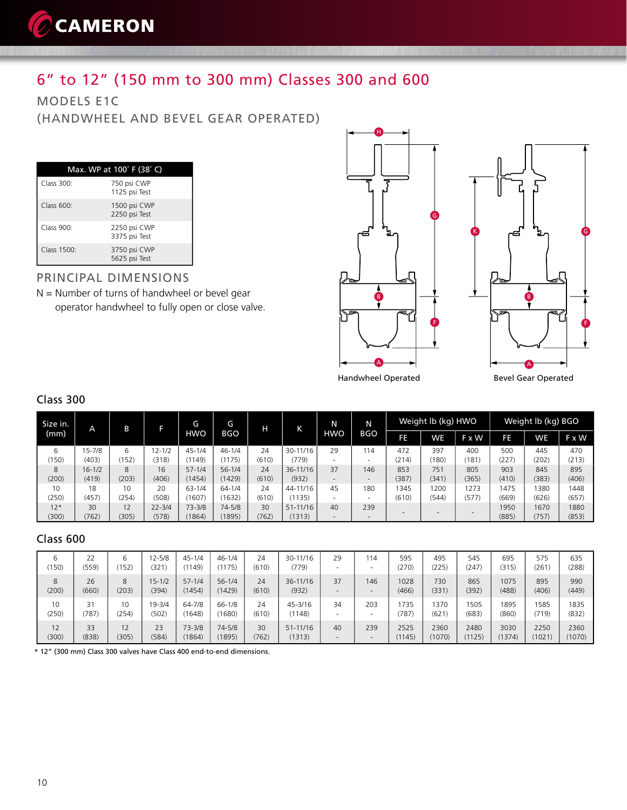# 6" to 12" (150 mm to 300 mm) Classes 300 and 600

MODELS E1C (HANDWHEEL AND BEVEL GEAR OPERATED)

|             | Max. WP at 100° F (38° C)     |
|-------------|-------------------------------|
| Class 300:  | 750 psi CWP<br>1125 psi Test  |
| Class 600:  | 1500 psi CWP<br>2250 psi Test |
| Class 900:  | 2250 psi CWP<br>3375 psi Test |
| Class 1500: | 3750 psi CWP<br>5625 psi Test |

**CAMERON** 

#### PRINCIPAL DIMENSIONS

N = Number of turns of handwheel or bevel gear operator handwheel to fully open or close valve.





#### Class 300

| Size in.<br>(mm) | A          | B     |            | G          | G          | н     |              | Ν<br>K<br><b>HWO</b> | N   |       | Weight lb (kg) HWO |              | Weight lb (kg) BGO |       |       |
|------------------|------------|-------|------------|------------|------------|-------|--------------|----------------------|-----|-------|--------------------|--------------|--------------------|-------|-------|
|                  |            |       |            | HWO        | <b>BGO</b> |       |              |                      | BGO | FE    | WE                 | <b>F</b> x W | FE                 | WE    | F x W |
| b                | $15 - 7/8$ | 6     | $12 - 1/2$ | $45 - 1/4$ | $46 - 1/4$ | 24    | 30-11/16     | 29                   | 114 | 472   | 397                | 400          | 500                | 445   | 470   |
| (150)            | (403)      | (152) | (318)      | (1149)     | (1175)     | (610) | 779)         |                      |     | (214) | (180)              | (181         | (227)              | (202) | (213) |
| 8                | $16 - 1/2$ | 8     | 16         | $57 - 1/4$ | $56 - 1/4$ | 24    | $36 - 11/16$ | 37                   | 146 | 853   | 751                | 805          | 903                | 845   | 895   |
| (200)            | (419)      | (203) | (406)      | (1454)     | (1429)     | (610) | (932)        |                      |     | (387) | (341)              | (365)        | (410)              | (383) | (406) |
| 10               | 18         | 10    | 20         | $63 - 1/4$ | $64 - 1/4$ | 24    | 44-11/16     | 45                   | 180 | 345   | 1200               | 1273         | 475                | 1380  | 1448  |
| (250)            | (457)      | (254) | (508)      | 1607       | (1632)     | (610) | (1135)       |                      | -   | (610) | (544)              | (577)        | (669)              | (626) | (657) |
| $12*$            | 30         | 12    | $22 - 3/4$ | $73 - 3/8$ | 74-5/8     | 30    | $51 - 11/16$ | 40                   | 239 |       |                    |              | 1950               | 1670  | 1880  |
| (300)            | 762)       | (305) | (578)      | (1864)     | (1895)     | (762) | (1313)       |                      |     |       |                    |              | (885)              | (757) | (853) |

#### Class 600

| b     | 22    | ხ     | $2 - 5/8$  | $45 - 1/4$ | $46 - 1/4$ | 24    | 30-11/16     | 29                       | 114 | 595   | 495    | 545    | 695    | 575    | 635    |
|-------|-------|-------|------------|------------|------------|-------|--------------|--------------------------|-----|-------|--------|--------|--------|--------|--------|
| 150)  | (559) | 152)  | (321)      | (1149)     | 1175)      | (610) | (779)        | ۰                        |     | (270) | (225)  | (247   | (315)  | (261)  | (288)  |
| 8     | 26    | 8     | $15 - 1/2$ | $57 - 1/4$ | $56 - 1/4$ | 24    | 36-11/16     | 37                       | 146 | 1028  | 730    | 865    | 1075   | 895    | 990    |
| (200) | (660) | (203) | (394)      | (1454)     | 1429)      | (610) | (932)        | $\qquad \qquad -$        |     | (466) | (331)  | (392)  | (488)  | (406)  | (449)  |
| 10    | 31    | 10    | 19-3/4     | 64-7/8     | $66 - 1/8$ | 24    | 45-3/16      | 34                       | 203 | 735   | 1370   | 1505   | 1895   | 1585   | 1835   |
| (250) | (787) | (254) | (502)      | (1648)     | 1680)      | (610) | (1148)       | $\overline{\phantom{a}}$ |     | 787)  | (621)  | (683)  | (860)  | (719)  | (832)  |
| 12    | 33    | 12    | 23         | $73 - 3/8$ | 74-5/8     | 30    | $51 - 11/16$ | 40                       | 239 | 2525  | 2360   | 2480   | 3030   | 2250   | 2360   |
| (300) | (838) | (305) | (584)      | (1864)     | 1895)      | (762) | (1313)       | $\qquad \qquad -$        |     | 1145  | (1070) | (1125) | (1374) | (1021) | (1070) |

\* 12" (300 mm) Class 300 valves have Class 400 end-to-end dimensions.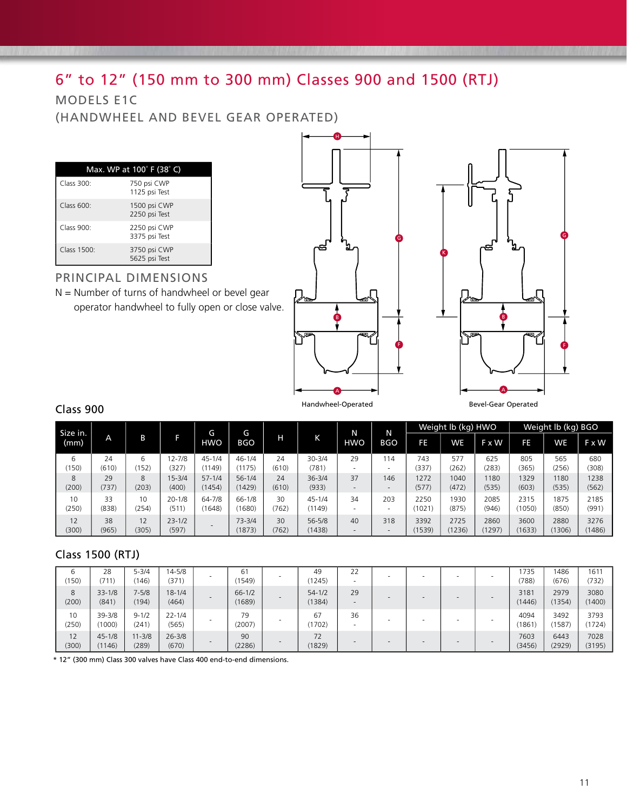# 6" to 12" (150 mm to 300 mm) Classes 900 and 1500 (RTJ)

MODELS E1C

(HANDWHEEL AND BEVEL GEAR OPERATED)

|             | Max. WP at 100°F (38°C)       |
|-------------|-------------------------------|
| Class 300:  | 750 psi CWP<br>1125 psi Test  |
| Class 600:  | 1500 psi CWP<br>2250 psi Test |
| Class 900:  | 2250 psi CWP<br>3375 psi Test |
| Class 1500: | 3750 psi CWP<br>5625 psi Test |

#### PRINCIPAL DIMENSIONS

 $N =$  Number of turns of handwheel or bevel gear operator handwheel to fully open or close valve.





#### Class 900

| Size in.    |             |             |                     | G          | G               |             |                      | N                        | N          |               | Weight lb (kg) HWO |               | Weight lb (kg) BGO |               |                |
|-------------|-------------|-------------|---------------------|------------|-----------------|-------------|----------------------|--------------------------|------------|---------------|--------------------|---------------|--------------------|---------------|----------------|
| (mm)        | A           |             | E                   | <b>HWO</b> | BGO             | H           | K                    | <b>HWO</b>               | <b>BGO</b> | FE            | WE                 | F x W         | FE                 | WE            | <b>F</b> x W   |
| 6           | 24          | 6           | $2 - 7/8$           | $45 - 1/4$ | $46 - 1/4$      | 24          | $30 - 3/4$           | 29                       | 114        | 743           | 577                | 625           | 805                | 565           | 680            |
| (150)       | (610)       | 152)        | (327)               | (1149)     | 1175)           | (610)       | (781)                | $\overline{\phantom{a}}$ |            | (337)         | (262)              | (283)         | (365)              | (256)         | (308)          |
| 8           | 29          | 8           | $15 - 3/4$          | $57 - 1/4$ | $56 - 1/4$      | 24          | $36 - 3/4$           | 37                       | 146        | 1272          | 1040               | 1180          | 1329               | 180           | 1238           |
| (200)       | (737)       | (203)       | (400)               | (1454)     | (1429)          | (610)       | (933)                | $\overline{\phantom{a}}$ |            | (577)         | (472)              | (535)         | (603)              | (535)         | (562)          |
| 10          | 33          | 10          | $20 - 1/8$          | $64 - 7/8$ | $66 - 1/8$      | 30          | $45 - 1/4$           | 34                       | 203        | 2250          | 1930               | 2085          | 2315               | 1875          | 2185           |
| (250)       | (838)       | (254)       | (511)               | (1648)     | (1680)          | (762)       | (1149)               |                          |            | 1021          | (875)              | (946)         | (1050)             | (850)         | (991)          |
| 12<br>(300) | 38<br>(965) | 12<br>(305) | $23 - 1/2$<br>(597) |            | 73-3/4<br>1873) | 30<br>(762) | $56 - 5/8$<br>(1438) | 40<br>$\overline{a}$     | 318        | 3392<br>1539) | 2725<br>(1236)     | 2860<br>(1297 | 3600<br>(1633)     | 2880<br>1306) | 3276<br>(1486) |

#### Class 1500 (RTJ)

| b<br>150)   | 28<br>(711)          | 5-3/4<br>(146)      | 14-5/8<br>(371)     | 61<br>1549)         |   | 49<br>1245)          | 22<br>$\overline{\phantom{a}}$ |  |                          | 1735<br>(788)  | 1486<br>(676)  | 1611<br>(732)  |
|-------------|----------------------|---------------------|---------------------|---------------------|---|----------------------|--------------------------------|--|--------------------------|----------------|----------------|----------------|
| 8<br>(200)  | $33 - 1/8$<br>(841)  | $7 - 5/8$<br>(194)  | $18 - 1/4$<br>(464) | $66 - 1/2$<br>1689) |   | $54 - 1/2$<br>(1384) | 29<br>$\overline{\phantom{a}}$ |  | $\sim$                   | 3181<br>1446   | 2979<br>(1354) | 3080<br>(1400) |
| 10<br>(250) | 39-3/8<br>(1000)     | $9 - 1/2$<br>(241)  | $22 - 1/4$<br>(565) | 79<br>(2007)        | - | 67<br>1702)          | 36<br>$\sim$                   |  |                          | 4094<br>1861   | 3492<br>(1587) | 3793<br>(1724) |
| 12<br>(300) | $45 - 1/8$<br>(1146) | $11 - 3/8$<br>(289) | $26 - 3/8$<br>(670) | 90<br>(2286)        |   | 72<br>(1829)         | $\overline{\phantom{a}}$       |  | $\overline{\phantom{a}}$ | 7603<br>(3456) | 6443<br>(2929) | 7028<br>(3195) |

\* 12" (300 mm) Class 300 valves have Class 400 end-to-end dimensions.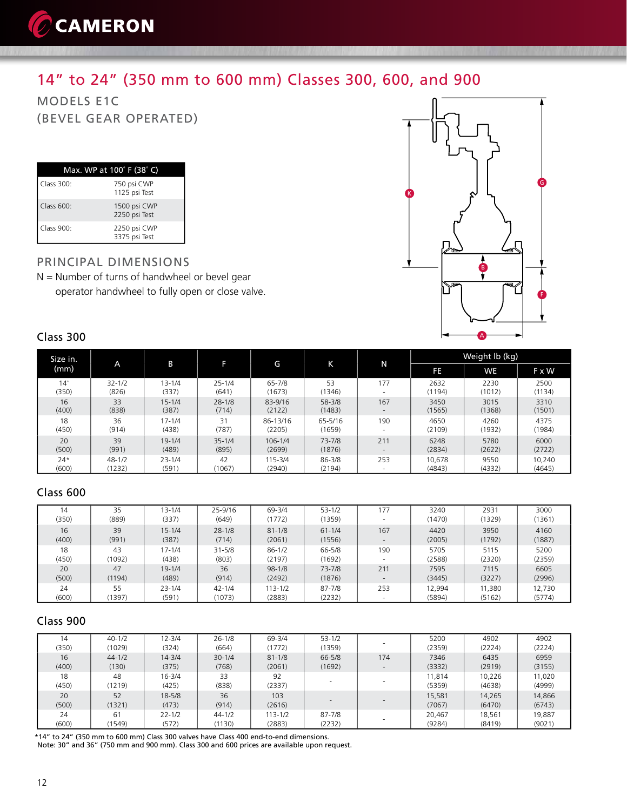# 14" to 24" (350 mm to 600 mm) Classes 300, 600, and 900

MODELS E1C (BEVEL GEAR OPERATED)

|            | Max. WP at 100°F (38°C)       |
|------------|-------------------------------|
| Class 300: | 750 psi CWP<br>1125 psi Test  |
| Class 600: | 1500 psi CWP<br>2250 psi Test |
| Class 900: | 2250 psi CWP<br>3375 psi Test |

#### PRINCIPAL DIMENSIONS

 $N =$  Number of turns of handwheel or bevel gear operator handwheel to fully open or close valve.



#### Class 300

| Size in. |            |            | F          |             |            |                          |        | Weight lb (kg) |        |
|----------|------------|------------|------------|-------------|------------|--------------------------|--------|----------------|--------|
| (mm)     | A          | B          |            | G           | Κ          | N                        | FE     | WE             | F x W  |
| $14^*$   | $32 - 1/2$ | $13 - 1/4$ | $25 - 1/4$ | 65-7/8      | 53         | 177                      | 2632   | 2230           | 2500   |
| (350)    | (826)      | (337)      | (641)      | (1673)      | (1346)     | $\overline{\phantom{a}}$ | (1194) | (1012)         | (1134) |
| 16       | 33         | $15 - 1/4$ | $28 - 1/8$ | $83 - 9/16$ | $58 - 3/8$ | 167                      | 3450   | 3015           | 3310   |
| (400)    | (838)      | (387)      | (714)      | (2122)      | (1483)     | $\overline{\phantom{a}}$ | (1565) | (1368)         | (1501) |
| 18       | 36         | $17 - 1/4$ | 31         | 86-13/16    | 65-5/16    | 190                      | 4650   | 4260           | 4375   |
| (450)    | (914)      | (438)      | (787)      | (2205)      | (1659)     | $\overline{\phantom{a}}$ | (2109) | (1932)         | (1984) |
| 20       | 39         | $19 - 1/4$ | $35 - 1/4$ | $106 - 1/4$ | $73 - 7/8$ | 211                      | 6248   | 5780           | 6000   |
| (500)    | (991)      | (489)      | (895)      | (2699)      | (1876)     | $\overline{\phantom{a}}$ | (2834) | (2622)         | (2722) |
| $24*$    | $48 - 1/2$ | $23 - 1/4$ | 42         | 115-3/4     | $86 - 3/8$ | 253                      | 10.678 | 9550           | 10,240 |
| (600)    | (1232)     | (591)      | (1067)     | (2940)      | (2194)     |                          | (4843) | (4332)         | (4645) |

#### Class 600

| 14    | 35     | $13 - 1/4$ | 25-9/16    | 69-3/4     | $53 - 1/2$ | 177                      | 3240   | 2931   | 3000   |
|-------|--------|------------|------------|------------|------------|--------------------------|--------|--------|--------|
| (350) | (889)  | (337)      | (649)      | (1772)     | (1359)     |                          | (1470) | (1329) | (1361) |
| 16    | 39     | $15 - 1/4$ | $28 - 1/8$ | $81 - 1/8$ | $61 - 1/4$ | 167                      | 4420   | 3950   | 4160   |
| (400) | (991)  | (387)      | (714)      | (2061)     | (1556)     | $\overline{\phantom{a}}$ | (2005) | (1792) | (1887) |
| 18    | 43     | $17 - 1/4$ | $31 - 5/8$ | $86 - 1/2$ | 66-5/8     | 190                      | 5705   | 5115   | 5200   |
| (450) | (1092) | (438)      | (803)      | (2197)     | (1692)     |                          | (2588) | (2320) | (2359) |
| 20    | 47     | $19 - 1/4$ | 36         | $98 - 1/8$ | $73 - 7/8$ | 211                      | 7595   | 7115   | 6605   |
| (500) | (1194) | (489)      | (914)      | (2492)     | (1876)     | $\overline{\phantom{a}}$ | (3445) | (3227) | (2996) |
| 24    | 55     | $23 - 1/4$ | $42 - 1/4$ | 113-1/2    | $87 - 7/8$ | 253                      | 12.994 | 11,380 | 12,730 |
| (600) | (1397) | (591)      | (1073)     | (2883)     | (2232)     |                          | (5894) | (5162) | (5774) |

### Class 900

| 14    | $40 - 1/2$ | $12 - 3/4$ | $26 - 1/8$ | 69-3/4      | $53 - 1/2$ |                          | 5200   | 4902   | 4902   |
|-------|------------|------------|------------|-------------|------------|--------------------------|--------|--------|--------|
| (350) | (1029)     | (324)      | (664)      | (1772)      | (1359)     |                          | (2359) | (2224) | (2224) |
| 16    | $44 - 1/2$ | $14 - 3/4$ | $30 - 1/4$ | $81 - 1/8$  | 66-5/8     | 174                      | 7346   | 6435   | 6959   |
| (400) | (130)      | (375)      | (768)      | (2061)      | (1692)     | $\overline{\phantom{a}}$ | (3332) | (2919) | (3155) |
| 18    | 48         | $16 - 3/4$ | 33         | 92          |            |                          | 11.814 | 10,226 | 11,020 |
| (450) | (1219)     | (425)      | (838)      | (2337)      |            |                          | (5359) | (4638) | (4999) |
| 20    | 52         | $18 - 5/8$ | 36         | 103         |            |                          | 15,581 | 14,265 | 14,866 |
| (500) | (1321)     | (473)      | (914)      | (2616)      |            |                          | (7067) | (6470) | (6743) |
| 24    | 61         | $22 - 1/2$ | $44 - 1/2$ | $113 - 1/2$ | $87 - 7/8$ |                          | 20,467 | 18.561 | 19,887 |
| (600) | (1549)     | (572)      | (1130)     | (2883)      | (2232)     |                          | (9284) | (8419) | (9021) |

\*14" to 24" (350 mm to 600 mm) Class 300 valves have Class 400 end-to-end dimensions.

Note: 30" and 36" (750 mm and 900 mm). Class 300 and 600 prices are available upon request.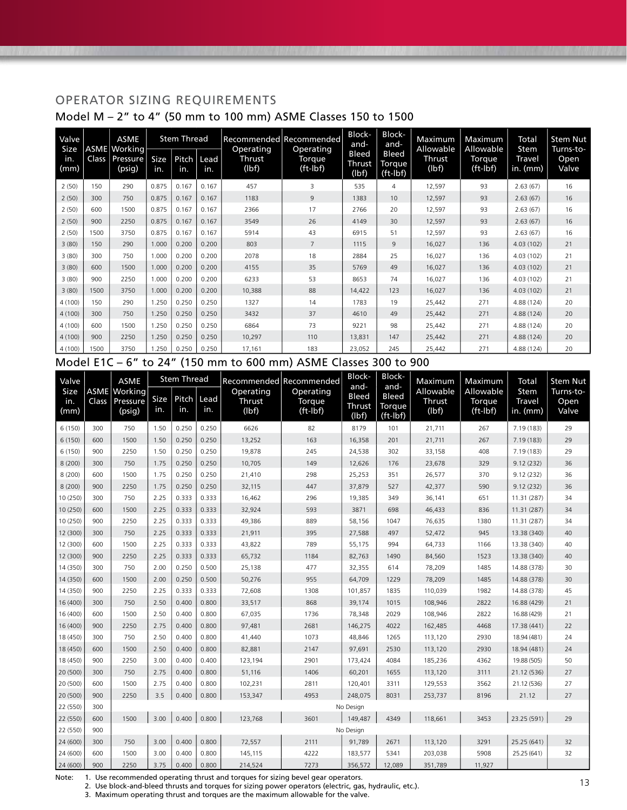## OPERATOR SIZING REQUIREMENTS

#### Model M – 2" to 4" (50 mm to 100 mm) ASME Classes 150 to 1500

| Valve<br>Size |       | <b>ASME</b><br><b>ASME</b> Working |             | <b>Stem Thread</b> |                     | Recommended Recommended<br>Operating<br>Operating |                    | Block-<br>and-                  | Block-<br>and-                       | Maximum<br>Allowable   | Maximum<br>Allowable | Total<br><b>Stem</b>      | <b>Stem Nut</b><br>Turns-to- |
|---------------|-------|------------------------------------|-------------|--------------------|---------------------|---------------------------------------------------|--------------------|---------------------------------|--------------------------------------|------------------------|----------------------|---------------------------|------------------------------|
| in.<br>(mm)   | Class | <b>Pressure</b><br>(psig)          | Size<br>in. | in.                | Pitch   Lead<br>in. | <b>Thrust</b><br>(lbf)                            | Torque<br>(ft-Ibf) | <b>Bleed</b><br>Thrust<br>(lbf) | Bleed<br><b>Torque</b><br>$(ft-lbf)$ | <b>Thrust</b><br>(lbf) | Torgue<br>(ft-Ibf)   | <b>Travel</b><br>in. (mm) | Open<br>Valve                |
| 2(50)         | 150   | 290                                | 0.875       | 0.167              | 0.167               | 457                                               | 3                  | 535                             | 4                                    | 12,597                 | 93                   | 2.63(67)                  | 16                           |
| 2(50)         | 300   | 750                                | 0.875       | 0.167              | 0.167               | 1183                                              | 9                  | 1383                            | 10                                   | 12,597                 | 93                   | 2.63(67)                  | 16                           |
| 2(50)         | 600   | 1500                               | 0.875       | 0.167              | 0.167               | 2366                                              | 17                 | 2766                            | 20                                   | 12,597                 | 93                   | 2.63(67)                  | 16                           |
| 2(50)         | 900   | 2250                               | 0.875       | 0.167              | 0.167               | 3549                                              | 26                 | 4149                            | 30                                   | 12,597                 | 93                   | 2.63(67)                  | 16                           |
| 2(50)         | 1500  | 3750                               | 0.875       | 0.167              | 0.167               | 5914                                              | 43                 | 6915                            | 51                                   | 12,597                 | 93                   | 2.63(67)                  | 16                           |
| 3(80)         | 150   | 290                                | 1.000       | 0.200              | 0.200               | 803                                               | $\overline{7}$     | 1115                            | 9                                    | 16,027                 | 136                  | 4.03(102)                 | 21                           |
| 3(80)         | 300   | 750                                | 1.000       | 0.200              | 0.200               | 2078                                              | 18                 | 2884                            | 25                                   | 16,027                 | 136                  | 4.03(102)                 | 21                           |
| 3(80)         | 600   | 1500                               | 1.000       | 0.200              | 0.200               | 4155                                              | 35                 | 5769                            | 49                                   | 16,027                 | 136                  | 4.03(102)                 | 21                           |
| 3(80)         | 900   | 2250                               | 1.000       | 0.200              | 0.200               | 6233                                              | 53                 | 8653                            | 74                                   | 16,027                 | 136                  | 4.03(102)                 | 21                           |
| 3(80)         | 1500  | 3750                               | 1.000       | 0.200              | 0.200               | 10,388                                            | 88                 | 14,422                          | 123                                  | 16,027                 | 136                  | 4.03(102)                 | 21                           |
| 4(100)        | 150   | 290                                | 1.250       | 0.250              | 0.250               | 1327                                              | 14                 | 1783                            | 19                                   | 25,442                 | 271                  | 4.88 (124)                | 20                           |
| 4(100)        | 300   | 750                                | 1.250       | 0.250              | 0.250               | 3432                                              | 37                 | 4610                            | 49                                   | 25,442                 | 271                  | 4.88 (124)                | 20                           |
| 4(100)        | 600   | 1500                               | 1.250       | 0.250              | 0.250               | 6864                                              | 73                 | 9221                            | 98                                   | 25,442                 | 271                  | 4.88 (124)                | 20                           |
| 4(100)        | 900   | 2250                               | 1.250       | 0.250              | 0.250               | 10,297                                            | 110                | 13,831                          | 147                                  | 25,442                 | 271                  | 4.88 (124)                | 20                           |
| 4(100)        | 1500  | 3750                               | 1.250       | 0.250              | 0.250               | 17,161                                            | 183                | 23,052                          | 245                                  | 25,442                 | 271                  | 4.88 (124)                | 20                           |

#### Model E1C – 6" to 24" (150 mm to 600 mm) ASME Classes 300 to 900

| Valve               |     | <b>ASME</b>                                       |             | <b>Stem Thread</b> |             | Recommended Recommended      |                                 | Block-                                  | Block-                                       | Maximum                             | Maximum                         | Total                               | <b>Stem Nut</b>            |
|---------------------|-----|---------------------------------------------------|-------------|--------------------|-------------|------------------------------|---------------------------------|-----------------------------------------|----------------------------------------------|-------------------------------------|---------------------------------|-------------------------------------|----------------------------|
| Size<br>in.<br>(mm) |     | <b>ASME</b> Working<br>Class   Pressure<br>(psig) | Size<br>in. | Pitch I<br>in.     | Lead<br>in. | Operating<br>Thrust<br>(lbf) | Operating<br>Torque<br>(ft-Ibf) | and-<br><b>Bleed</b><br>Thrust<br>(lbf) | and-<br><b>Bleed</b><br>Torque<br>$(ft-lbf)$ | Allowable<br><b>Thrust</b><br>(lbf) | Allowable<br>Torque<br>(ft-Ibf) | Stem<br><b>Travel</b><br>$in.$ (mm) | Turns-to-<br>Open<br>Valve |
| 6(150)              | 300 | 750                                               | 1.50        | 0.250              | 0.250       | 6626                         | 82                              | 8179                                    | 101                                          | 21,711                              | 267                             | 7.19(183)                           | 29                         |
| 6(150)              | 600 | 1500                                              | 1.50        | 0.250              | 0.250       | 13,252                       | 163                             | 16,358                                  | 201                                          | 21,711                              | 267                             | 7.19(183)                           | 29                         |
| 6(150)              | 900 | 2250                                              | 1.50        | 0.250              | 0.250       | 19,878                       | 245                             | 24,538                                  | 302                                          | 33,158                              | 408                             | 7.19(183)                           | 29                         |
| 8(200)              | 300 | 750                                               | 1.75        | 0.250              | 0.250       | 10,705                       | 149                             | 12,626                                  | 176                                          | 23,678                              | 329                             | 9.12(232)                           | 36                         |
| 8 (200)             | 600 | 1500                                              | 1.75        | 0.250              | 0.250       | 21,410                       | 298                             | 25,253                                  | 351                                          | 26,577                              | 370                             | 9.12(232)                           | 36                         |
| 8 (200)             | 900 | 2250                                              | 1.75        | 0.250              | 0.250       | 32,115                       | 447                             | 37,879                                  | 527                                          | 42,377                              | 590                             | 9.12(232)                           | 36                         |
| 10 (250)            | 300 | 750                                               | 2.25        | 0.333              | 0.333       | 16,462                       | 296                             | 19,385                                  | 349                                          | 36,141                              | 651                             | 11.31 (287)                         | 34                         |
| 10 (250)            | 600 | 1500                                              | 2.25        | 0.333              | 0.333       | 32,924                       | 593                             | 3871                                    | 698                                          | 46,433                              | 836                             | 11.31 (287)                         | 34                         |
| 10 (250)            | 900 | 2250                                              | 2.25        | 0.333              | 0.333       | 49,386                       | 889                             | 58,156                                  | 1047                                         | 76,635                              | 1380                            | 11.31 (287)                         | 34                         |
| 12 (300)            | 300 | 750                                               | 2.25        | 0.333              | 0.333       | 21,911                       | 395                             | 27,588                                  | 497                                          | 52,472                              | 945                             | 13.38 (340)                         | 40                         |
| 12 (300)            | 600 | 1500                                              | 2.25        | 0.333              | 0.333       | 43,822                       | 789                             | 55,175                                  | 994                                          | 64,733                              | 1166                            | 13.38 (340)                         | 40                         |
| 12 (300)            | 900 | 2250                                              | 2.25        | 0.333              | 0.333       | 65,732                       | 1184                            | 82,763                                  | 1490                                         | 84,560                              | 1523                            | 13.38 (340)                         | 40                         |
| 14 (350)            | 300 | 750                                               | 2.00        | 0.250              | 0.500       | 25,138                       | 477                             | 32,355                                  | 614                                          | 78,209                              | 1485                            | 14.88 (378)                         | 30                         |
| 14 (350)            | 600 | 1500                                              | 2.00        | 0.250              | 0.500       | 50,276                       | 955                             | 64,709                                  | 1229                                         | 78,209                              | 1485                            | 14.88 (378)                         | 30                         |
| 14 (350)            | 900 | 2250                                              | 2.25        | 0.333              | 0.333       | 72,608                       | 1308                            | 101,857                                 | 1835                                         | 110,039                             | 1982                            | 14.88 (378)                         | 45                         |
| 16 (400)            | 300 | 750                                               | 2.50        | 0.400              | 0.800       | 33,517                       | 868                             | 39,174                                  | 1015                                         | 108,946                             | 2822                            | 16.88 (429)                         | 21                         |
| 16 (400)            | 600 | 1500                                              | 2.50        | 0.400              | 0.800       | 67,035                       | 1736                            | 78,348                                  | 2029                                         | 108,946                             | 2822                            | 16.88 (429)                         | 21                         |
| 16 (400)            | 900 | 2250                                              | 2.75        | 0.400              | 0.800       | 97,481                       | 2681                            | 146,275                                 | 4022                                         | 162,485                             | 4468                            | 17.38 (441)                         | 22                         |
| 18 (450)            | 300 | 750                                               | 2.50        | 0.400              | 0.800       | 41,440                       | 1073                            | 48,846                                  | 1265                                         | 113,120                             | 2930                            | 18.94 (481)                         | 24                         |
| 18 (450)            | 600 | 1500                                              | 2.50        | 0.400              | 0.800       | 82,881                       | 2147                            | 97,691                                  | 2530                                         | 113,120                             | 2930                            | 18.94 (481)                         | 24                         |
| 18 (450)            | 900 | 2250                                              | 3.00        | 0.400              | 0.400       | 123,194                      | 2901                            | 173,424                                 | 4084                                         | 185,236                             | 4362                            | 19.88 (505)                         | 50                         |
| 20 (500)            | 300 | 750                                               | 2.75        | 0.400              | 0.800       | 51,116                       | 1406                            | 60,201                                  | 1655                                         | 113,120                             | 3111                            | 21.12 (536)                         | 27                         |
| 20 (500)            | 600 | 1500                                              | 2.75        | 0.400              | 0.800       | 102,231                      | 2811                            | 120,401                                 | 3311                                         | 129,553                             | 3562                            | 21.12 (536)                         | 27                         |
| 20 (500)            | 900 | 2250                                              | 3.5         | 0.400              | 0.800       | 153,347                      | 4953                            | 248,075                                 | 8031                                         | 253,737                             | 8196                            | 21.12                               | 27                         |
| 22 (550)            | 300 |                                                   |             |                    |             |                              |                                 | No Design                               |                                              |                                     |                                 |                                     |                            |
| 22 (550)            | 600 | 1500                                              | 3.00        | 0.400              | 0.800       | 123,768                      | 3601                            | 149,487                                 | 4349                                         | 118,661                             | 3453                            | 23.25 (591)                         | 29                         |
| 22 (550)            | 900 |                                                   |             |                    |             |                              |                                 | No Design                               |                                              |                                     |                                 |                                     |                            |
| 24 (600)            | 300 | 750                                               | 3.00        | 0.400              | 0.800       | 72,557                       | 2111                            | 91,789                                  | 2671                                         | 113,120                             | 3291                            | 25.25 (641)                         | 32                         |
| 24 (600)            | 600 | 1500                                              | 3.00        | 0.400              | 0.800       | 145,115                      | 4222                            | 183,577                                 | 5341                                         | 203,038                             | 5908                            | 25.25 (641)                         | 32                         |
| 24 (600)            | 900 | 2250                                              | 3.75        | 0.400              | 0.800       | 214,524                      | 7273                            | 356,572                                 | 12,089                                       | 351,789                             | 11,927                          |                                     |                            |

Note: 1. Use recommended operating thrust and torques for sizing bevel gear operators.

2. Use block-and-bleed thrusts and torques for sizing power operators (electric, gas, hydraulic, etc.).

3. Maximum operating thrust and torques are the maximum allowable for the valve.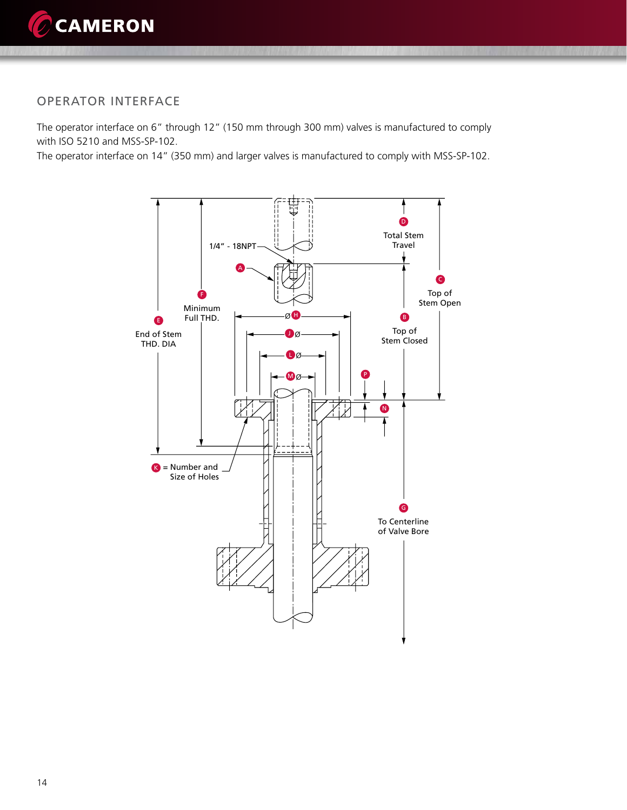

#### OPERATOR INTERFACE

The operator interface on 6" through 12" (150 mm through 300 mm) valves is manufactured to comply with ISO 5210 and MSS-SP-102.

The operator interface on 14" (350 mm) and larger valves is manufactured to comply with MSS-SP-102.

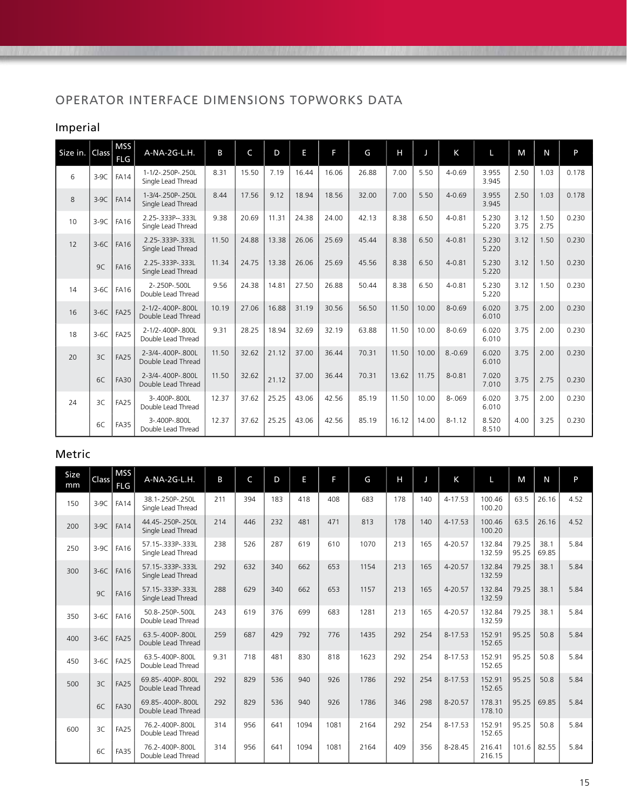## OPERATOR INTERFACE DIMENSIONS TOPWORKS DATA

#### Imperial

| Size in.   Class |        | <b>MSS</b><br>FLG | A-NA-2G-L.H.                            | B     | C     | D     | E     | F     | G     | н     | J     | K          | L              | M            | N            | P     |
|------------------|--------|-------------------|-----------------------------------------|-------|-------|-------|-------|-------|-------|-------|-------|------------|----------------|--------------|--------------|-------|
| 6                | $3-9C$ | <b>FA14</b>       | 1-1/2-.250P-.250L<br>Single Lead Thread | 8.31  | 15.50 | 7.19  | 16.44 | 16.06 | 26.88 | 7.00  | 5.50  | $4 - 0.69$ | 3.955<br>3.945 | 2.50         | 1.03         | 0.178 |
| 8                | $3-9C$ | <b>FA14</b>       | 1-3/4-.250P-.250L<br>Single Lead Thread | 8.44  | 17.56 | 9.12  | 18.94 | 18.56 | 32.00 | 7.00  | 5.50  | $4 - 0.69$ | 3.955<br>3.945 | 2.50         | 1.03         | 0.178 |
| 10               | $3-9C$ | <b>FA16</b>       | 2.25-.333P--.333L<br>Single Lead Thread | 9.38  | 20.69 | 11.31 | 24.38 | 24.00 | 42.13 | 8.38  | 6.50  | $4 - 0.81$ | 5.230<br>5.220 | 3.12<br>3.75 | 1.50<br>2.75 | 0.230 |
| 12               | $3-6C$ | <b>FA16</b>       | 2.25-333P-333L<br>Single Lead Thread    | 11.50 | 24.88 | 13.38 | 26.06 | 25.69 | 45.44 | 8.38  | 6.50  | $4 - 0.81$ | 5.230<br>5.220 | 3.12         | 1.50         | 0.230 |
|                  | 9C     | <b>FA16</b>       | 2.25-.333P-.333L<br>Single Lead Thread  | 11.34 | 24.75 | 13.38 | 26.06 | 25.69 | 45.56 | 8.38  | 6.50  | $4 - 0.81$ | 5.230<br>5.220 | 3.12         | 1.50         | 0.230 |
| 14               | $3-6C$ | <b>FA16</b>       | 2-.250P-.500L<br>Double Lead Thread     | 9.56  | 24.38 | 14.81 | 27.50 | 26.88 | 50.44 | 8.38  | 6.50  | $4 - 0.81$ | 5.230<br>5.220 | 3.12         | 1.50         | 0.230 |
| 16               | $3-6C$ | <b>FA25</b>       | 2-1/2-.400P-.800L<br>Double Lead Thread | 10.19 | 27.06 | 16.88 | 31.19 | 30.56 | 56.50 | 11.50 | 10.00 | 8-0.69     | 6.020<br>6.010 | 3.75         | 2.00         | 0.230 |
| 18               | $3-6C$ | <b>FA25</b>       | 2-1/2-.400P-.800L<br>Double Lead Thread | 9.31  | 28.25 | 18.94 | 32.69 | 32.19 | 63.88 | 11.50 | 10.00 | $8 - 0.69$ | 6.020<br>6.010 | 3.75         | 2.00         | 0.230 |
| 20               | 3C     | <b>FA25</b>       | 2-3/4-.400P-.800L<br>Double Lead Thread | 11.50 | 32.62 | 21.12 | 37.00 | 36.44 | 70.31 | 11.50 | 10.00 | $8.-0.69$  | 6.020<br>6.010 | 3.75         | 2.00         | 0.230 |
|                  | 6C     | <b>FA30</b>       | 2-3/4-.400P-.800L<br>Double Lead Thread | 11.50 | 32.62 | 21.12 | 37.00 | 36.44 | 70.31 | 13.62 | 11.75 | $8 - 0.81$ | 7.020<br>7.010 | 3.75         | 2.75         | 0.230 |
| 24               | 3C     | <b>FA25</b>       | 3-400P-800L<br>Double Lead Thread       | 12.37 | 37.62 | 25.25 | 43.06 | 42.56 | 85.19 | 11.50 | 10.00 | $8 - 069$  | 6.020<br>6.010 | 3.75         | 2.00         | 0.230 |
|                  | 6C     | <b>FA35</b>       | 3-400P-800L<br>Double Lead Thread       | 12.37 | 37.62 | 25.25 | 43.06 | 42.56 | 85.19 | 16.12 | 14.00 | $8 - 1.12$ | 8.520<br>8.510 | 4.00         | 3.25         | 0.230 |

## Metric

| Size<br>mm | Class  | <b>MSS</b><br><b>FLG</b> | A-NA-2G-L.H.                            | B    | C   | D   | E    | F    | G    | Н   |     | K           |                  | M              | N             | P    |
|------------|--------|--------------------------|-----------------------------------------|------|-----|-----|------|------|------|-----|-----|-------------|------------------|----------------|---------------|------|
| 150        | $3-9C$ | <b>FA14</b>              | 38.1-.250P-.250L<br>Single Lead Thread  | 211  | 394 | 183 | 418  | 408  | 683  | 178 | 140 | 4-17.53     | 100.46<br>100.20 | 63.5           | 26.16         | 4.52 |
| 200        | $3-9C$ | <b>FA14</b>              | 44.45-.250P-.250L<br>Single Lead Thread | 214  | 446 | 232 | 481  | 471  | 813  | 178 | 140 | 4-17.53     | 100.46<br>100.20 | 63.5           | 26.16         | 4.52 |
| 250        | $3-9C$ | <b>FA16</b>              | 57.15-.333P-.333L<br>Single Lead Thread | 238  | 526 | 287 | 619  | 610  | 1070 | 213 | 165 | 4-20.57     | 132.84<br>132.59 | 79.25<br>95.25 | 38.1<br>69.85 | 5.84 |
| 300        | $3-6C$ | <b>FA16</b>              | 57.15-.333P-.333L<br>Single Lead Thread | 292  | 632 | 340 | 662  | 653  | 1154 | 213 | 165 | $4 - 20.57$ | 132.84<br>132.59 | 79.25          | 38.1          | 5.84 |
|            | 9C     | <b>FA16</b>              | 57.15-.333P-.333L<br>Single Lead Thread | 288  | 629 | 340 | 662  | 653  | 1157 | 213 | 165 | 4-20.57     | 132.84<br>132.59 | 79.25          | 38.1          | 5.84 |
| 350        | $3-6C$ | <b>FA16</b>              | 50.8-250P-500L<br>Double Lead Thread    | 243  | 619 | 376 | 699  | 683  | 1281 | 213 | 165 | $4 - 20.57$ | 132.84<br>132.59 | 79.25          | 38.1          | 5.84 |
| 400        | $3-6C$ | <b>FA25</b>              | 63.5-.400P-.800L<br>Double Lead Thread  | 259  | 687 | 429 | 792  | 776  | 1435 | 292 | 254 | 8-17.53     | 152.91<br>152.65 | 95.25          | 50.8          | 5.84 |
| 450        | $3-6C$ | <b>FA25</b>              | 63.5-.400P-.800L<br>Double Lead Thread  | 9.31 | 718 | 481 | 830  | 818  | 1623 | 292 | 254 | 8-17.53     | 152.91<br>152.65 | 95.25          | 50.8          | 5.84 |
| 500        | 3C     | <b>FA25</b>              | 69.85-.400P-.800L<br>Double Lead Thread | 292  | 829 | 536 | 940  | 926  | 1786 | 292 | 254 | 8-17.53     | 152.91<br>152.65 | 95.25          | 50.8          | 5.84 |
|            | 6C     | <b>FA30</b>              | 69.85-.400P-.800L<br>Double Lead Thread | 292  | 829 | 536 | 940  | 926  | 1786 | 346 | 298 | 8-20.57     | 178.31<br>178.10 | 95.25          | 69.85         | 5.84 |
| 600        | 3C     | <b>FA25</b>              | 76.2-400P-800L<br>Double Lead Thread    | 314  | 956 | 641 | 1094 | 1081 | 2164 | 292 | 254 | 8-17.53     | 152.91<br>152.65 | 95.25          | 50.8          | 5.84 |
|            | 6C     | FA35                     | 76.2-.400P-.800L<br>Double Lead Thread  | 314  | 956 | 641 | 1094 | 1081 | 2164 | 409 | 356 | 8-28.45     | 216.41<br>216.15 | 101.6          | 82.55         | 5.84 |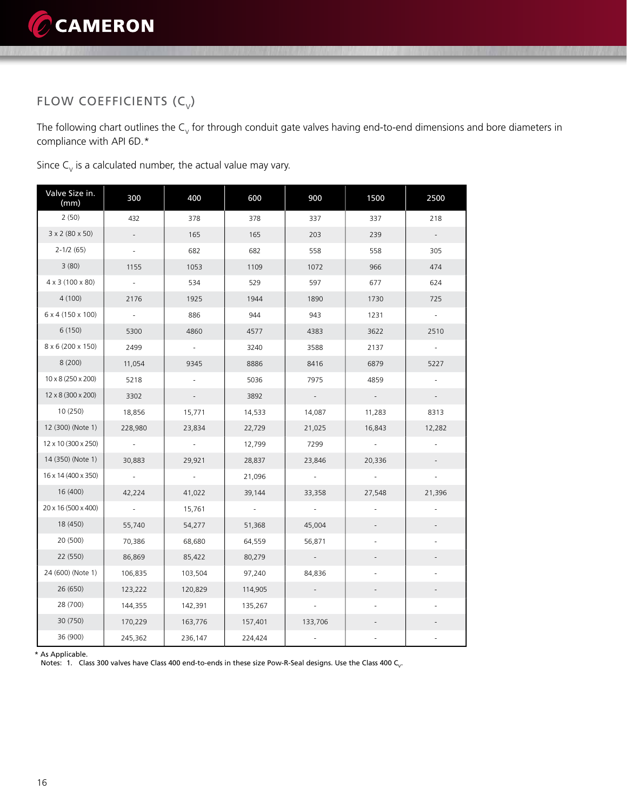# FLOW COEFFICIENTS  $(C_v)$

The following chart outlines the  $C_V$  for through conduit gate valves having end-to-end dimensions and bore diameters in compliance with API 6D.\*

| Valve Size in.<br>(mm)         | 300                      | 400     | 600     | 900                      | 1500   | 2500                     |
|--------------------------------|--------------------------|---------|---------|--------------------------|--------|--------------------------|
| 2(50)                          | 432                      | 378     | 378     | 337                      | 337    | 218                      |
| 3 x 2 (80 x 50)                | $\overline{\phantom{a}}$ | 165     | 165     | 203                      | 239    | $\sim$                   |
| $2 - 1/2$ (65)                 | $\overline{\phantom{a}}$ | 682     | 682     | 558                      | 558    | 305                      |
| 3(80)                          | 1155                     | 1053    | 1109    | 1072                     | 966    | 474                      |
| 4 x 3 (100 x 80)               | $\sim$                   | 534     | 529     | 597                      | 677    | 624                      |
| 4(100)                         | 2176                     | 1925    | 1944    | 1890                     | 1730   | 725                      |
| 6 x 4 (150 x 100)              | $\omega$                 | 886     | 944     | 943                      | 1231   | $\overline{\phantom{a}}$ |
| 6(150)                         | 5300                     | 4860    | 4577    | 4383                     | 3622   | 2510                     |
| 8 x 6 (200 x 150)              | 2499                     | $\sim$  | 3240    | 3588                     | 2137   | $\sim$                   |
| 8(200)                         | 11,054                   | 9345    | 8886    | 8416                     | 6879   | 5227                     |
| $10 \times 8 (250 \times 200)$ | 5218                     |         | 5036    | 7975                     | 4859   |                          |
| 12 x 8 (300 x 200)             | 3302                     |         | 3892    |                          | $\sim$ |                          |
| 10 (250)                       | 18,856                   | 15,771  | 14,533  | 14,087                   | 11,283 | 8313                     |
| 12 (300) (Note 1)              | 228,980                  | 23,834  | 22,729  | 21,025                   | 16,843 | 12,282                   |
| 12 x 10 (300 x 250)            | $\sim$                   |         | 12,799  | 7299                     | $\sim$ |                          |
| 14 (350) (Note 1)              | 30,883                   | 29,921  | 28,837  | 23,846                   | 20,336 |                          |
| 16 x 14 (400 x 350)            | $\sim$ $-$               | $\sim$  | 21,096  | $\sim$                   |        |                          |
| 16 (400)                       | 42,224                   | 41,022  | 39,144  | 33,358                   | 27,548 | 21,396                   |
| 20 x 16 (500 x 400)            | $\sim 100$               | 15,761  | $\sim$  | $\sim$                   |        |                          |
| 18 (450)                       | 55,740                   | 54,277  | 51,368  | 45,004                   |        |                          |
| 20 (500)                       | 70,386                   | 68,680  | 64,559  | 56,871                   |        |                          |
| 22 (550)                       | 86,869                   | 85,422  | 80,279  | $\sim 10^{-1}$           |        |                          |
| 24 (600) (Note 1)              | 106,835                  | 103,504 | 97,240  | 84,836                   |        |                          |
| 26 (650)                       | 123,222                  | 120,829 | 114,905 | $\overline{\phantom{a}}$ |        |                          |
| 28 (700)                       | 144,355                  | 142,391 | 135,267 |                          |        |                          |
| 30 (750)                       | 170,229                  | 163,776 | 157,401 | 133,706                  |        |                          |
| 36 (900)                       | 245,362                  | 236,147 | 224,424 |                          |        |                          |

Since  $C_{\text{v}}$  is a calculated number, the actual value may vary.

\* As Applicable.

Notes: 1. Class 300 valves have Class 400 end-to-ends in these size Pow-R-Seal designs. Use the Class 400  $C_v$ .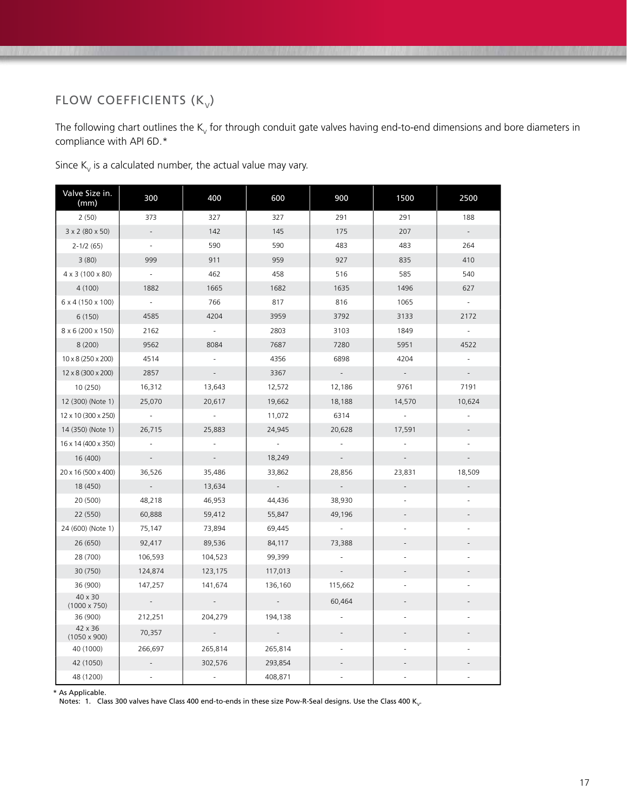## FLOW COEFFICIENTS  $(K_y)$

The following chart outlines the  $K_{\vee}$  for through conduit gate valves having end-to-end dimensions and bore diameters in compliance with API 6D.\*

| Valve Size in.<br>(mm)         | 300                         | 400                         | 600                      | 900                         | 1500                     | 2500                     |
|--------------------------------|-----------------------------|-----------------------------|--------------------------|-----------------------------|--------------------------|--------------------------|
| 2(50)                          | 373                         | 327                         | 327                      | 291                         | 291                      | 188                      |
| $3 \times 2 (80 \times 50)$    | $\overline{\phantom{a}}$    | 142                         | 145                      | 175                         | 207                      | $\mathcal{L}^{\pm}$      |
| $2-1/2(65)$                    | $\overline{\phantom{a}}$    | 590                         | 590                      | 483                         | 483                      | 264                      |
| 3(80)                          | 999                         | 911                         | 959                      | 927                         | 835                      | 410                      |
| 4 x 3 (100 x 80)               | $\mathcal{L}_{\mathcal{A}}$ | 462                         | 458                      | 516                         | 585                      | 540                      |
| 4(100)                         | 1882                        | 1665                        | 1682                     | 1635                        | 1496                     | 627                      |
| 6 x 4 (150 x 100)              | $\sim$                      | 766                         | 817                      | 816                         | 1065                     | $\sim$                   |
| 6(150)                         | 4585                        | 4204                        | 3959                     | 3792                        | 3133                     | 2172                     |
| 8 x 6 (200 x 150)              | 2162                        |                             | 2803                     | 3103                        | 1849                     |                          |
| 8(200)                         | 9562                        | 8084                        | 7687                     | 7280                        | 5951                     | 4522                     |
| $10 \times 8 (250 \times 200)$ | 4514                        |                             | 4356                     | 6898                        | 4204                     |                          |
| 12 x 8 (300 x 200)             | 2857                        |                             | 3367                     | $\mathcal{L}_{\mathcal{A}}$ | $\sim$                   | $\overline{\phantom{a}}$ |
| 10(250)                        | 16,312                      | 13,643                      | 12,572                   | 12,186                      | 9761                     | 7191                     |
| 12 (300) (Note 1)              | 25,070                      | 20,617                      | 19,662                   | 18,188                      | 14,570                   | 10,624                   |
| 12 x 10 (300 x 250)            | $\overline{\phantom{a}}$    | $\sim$                      | 11,072                   | 6314                        | $\sim$                   | ÷,                       |
| 14 (350) (Note 1)              | 26,715                      | 25,883                      | 24,945                   | 20,628                      | 17,591                   |                          |
| 16 x 14 (400 x 350)            |                             | ÷,                          | $\omega$                 |                             |                          |                          |
| 16 (400)                       | $\overline{\phantom{a}}$    | $\mathcal{L}^{\mathcal{L}}$ | 18,249                   | $\mathcal{L}$               |                          |                          |
| 20 x 16 (500 x 400)            | 36,526                      | 35,486                      | 33,862                   | 28,856                      | 23,831                   | 18,509                   |
| 18 (450)                       | $\mathbb{Z}^{\mathbb{Z}}$   | 13,634                      | $\omega_{\rm c}$         | ÷,                          | $\overline{\phantom{a}}$ | ÷                        |
| 20 (500)                       | 48,218                      | 46,953                      | 44,436                   | 38,930                      |                          |                          |
| 22 (550)                       | 60,888                      | 59,412                      | 55,847                   | 49,196                      |                          |                          |
| 24 (600) (Note 1)              | 75,147                      | 73,894                      | 69,445                   | $\sim$                      |                          |                          |
| 26 (650)                       | 92,417                      | 89,536                      | 84,117                   | 73,388                      | $\blacksquare$           | $\overline{\phantom{a}}$ |
| 28 (700)                       | 106,593                     | 104,523                     | 99,399                   |                             |                          |                          |
| 30 (750)                       | 124,874                     | 123,175                     | 117,013                  |                             |                          |                          |
| 36 (900)                       | 147,257                     | 141,674                     | 136,160                  | 115,662                     |                          |                          |
| 40 x 30<br>$(1000 \times 750)$ | $\sim$                      | $\sim$                      | $\overline{\phantom{a}}$ | 60,464                      |                          |                          |
| 36 (900)                       | 212,251                     | 204,279                     | 194,138                  |                             |                          |                          |
| 42 x 36<br>$(1050 \times 900)$ | 70,357                      | $\sim$                      | $\overline{\phantom{a}}$ |                             |                          |                          |
| 40 (1000)                      | 266,697                     | 265,814                     | 265,814                  |                             |                          |                          |
| 42 (1050)                      |                             | 302,576                     | 293,854                  |                             |                          |                          |
| 48 (1200)                      | $\overline{\phantom{a}}$    | $\overline{\phantom{a}}$    | 408,871                  |                             |                          |                          |

Since  $K_{\gamma}$  is a calculated number, the actual value may vary.

\* As Applicable.

Notes: 1. Class 300 valves have Class 400 end-to-ends in these size Pow-R-Seal designs. Use the Class 400 K<sub>V</sub>.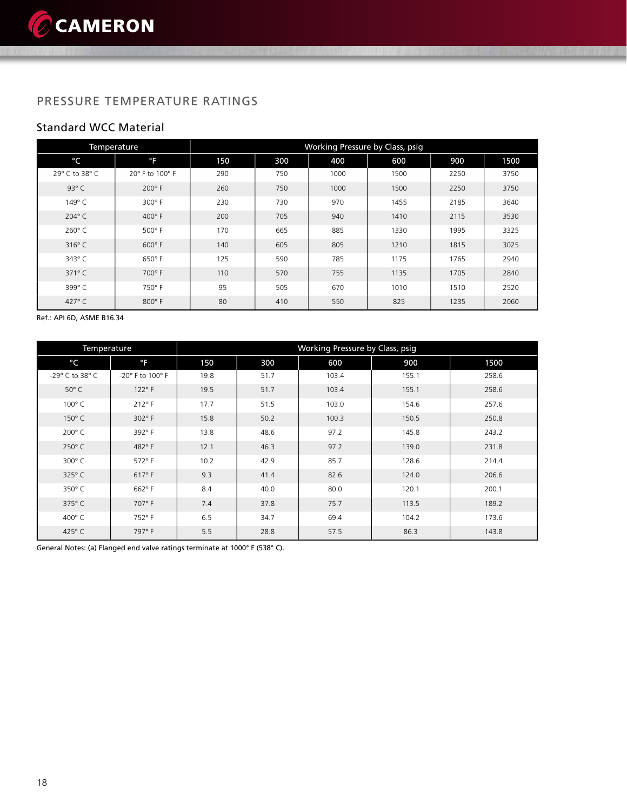# PRESSURE TEMPERATURE RATINGS

#### Standard WCC Material

| Temperature    |                 | Working Pressure by Class, psig |     |      |      |      |      |  |  |  |
|----------------|-----------------|---------------------------------|-----|------|------|------|------|--|--|--|
| $^{\circ}$ C   | $\mathsf{P}$    | 150                             | 300 | 400  | 600  | 900  | 1500 |  |  |  |
| 29° C to 38° C | 20° F to 100° F | 290                             | 750 | 1000 | 1500 | 2250 | 3750 |  |  |  |
| 93 $\degree$ C | $200^\circ$ F   | 260                             | 750 | 1000 | 1500 | 2250 | 3750 |  |  |  |
| 149°C          | 300°F           | 230                             | 730 | 970  | 1455 | 2185 | 3640 |  |  |  |
| $204^\circ$ C  | $400^{\circ}$ F | 200                             | 705 | 940  | 1410 | 2115 | 3530 |  |  |  |
| $260^\circ$ C  | 500°F           | 170                             | 665 | 885  | 1330 | 1995 | 3325 |  |  |  |
| $316^\circ$ C  | $600^\circ$ F   | 140                             | 605 | 805  | 1210 | 1815 | 3025 |  |  |  |
| $343^\circ$ C  | $650^\circ$ F   | 125                             | 590 | 785  | 1175 | 1765 | 2940 |  |  |  |
| $371^\circ$ C  | 700°F           | 110                             | 570 | 755  | 1135 | 1705 | 2840 |  |  |  |
| $399^\circ$ C  | 750°F           | 95                              | 505 | 670  | 1010 | 1510 | 2520 |  |  |  |
| 427°C          | $800^\circ$ F   | 80                              | 410 | 550  | 825  | 1235 | 2060 |  |  |  |

Ref.: API 6D, ASME B16.34

| Temperature      |                  | Working Pressure by Class, psig |      |       |       |       |  |  |  |
|------------------|------------------|---------------------------------|------|-------|-------|-------|--|--|--|
| $^{\circ}$ C     | $\circ$ F        | 150                             | 300  | 600   | 900   | 1500  |  |  |  |
| -29° C to 38° C  | -20° F to 100° F | 19.8                            | 51.7 | 103.4 | 155.1 | 258.6 |  |  |  |
| $50^{\circ}$ C   | $122^{\circ}$ F  | 19.5                            | 51.7 | 103.4 | 155.1 | 258.6 |  |  |  |
| $100^\circ$ C    | $212^{\circ}$ F  | 17.7                            | 51.5 | 103.0 | 154.6 | 257.6 |  |  |  |
| $150^{\circ}$ C  | 302°F            | 15.8                            | 50.2 | 100.3 | 150.5 | 250.8 |  |  |  |
| $200^\circ$ C    | 392°F            | 13.8                            | 48.6 | 97.2  | 145.8 | 243.2 |  |  |  |
| $250^{\circ}$ C  | 482°F            | 12.1                            | 46.3 | 97.2  | 139.0 | 231.8 |  |  |  |
| 300°C            | 572°F            | 10.2                            | 42.9 | 85.7  | 128.6 | 214.4 |  |  |  |
| $325^\circ$ C    | $617^\circ$ F    | 9.3                             | 41.4 | 82.6  | 124.0 | 206.6 |  |  |  |
| $350^{\circ}$ C  | $662^\circ$ F    | 8.4                             | 40.0 | 80.0  | 120.1 | 200.1 |  |  |  |
| $375^\circ$ C    | 707°F            | 7.4                             | 37.8 | 75.7  | 113.5 | 189.2 |  |  |  |
| 400 $^{\circ}$ C | 752°F            | 6.5                             | 34.7 | 69.4  | 104.2 | 173.6 |  |  |  |
| 425 $\degree$ C  | 797°F            | 5.5                             | 28.8 | 57.5  | 86.3  | 143.8 |  |  |  |

General Notes: (a) Flanged end valve ratings terminate at 1000° F (538° C).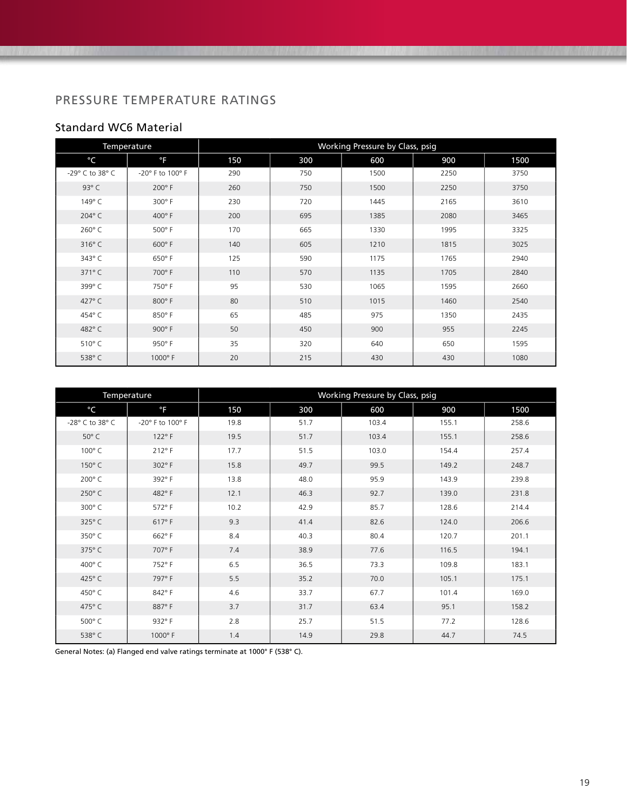### PRESSURE TEMPERATURE RATINGS

#### Standard WC6 Material

| Temperature     |                  | Working Pressure by Class, psig |     |      |      |      |  |
|-----------------|------------------|---------------------------------|-----|------|------|------|--|
| $^{\circ}$ C    | $\mathsf{P}$     | 150                             | 300 | 600  | 900  | 1500 |  |
| -29° C to 38° C | -20° F to 100° F | 290                             | 750 | 1500 | 2250 | 3750 |  |
| 93 $\degree$ C  | $200^\circ$ F    | 260                             | 750 | 1500 | 2250 | 3750 |  |
| 149°C           | 300°F            | 230                             | 720 | 1445 | 2165 | 3610 |  |
| $204^\circ$ C   | $400^{\circ}$ F  | 200                             | 695 | 1385 | 2080 | 3465 |  |
| 260°C           | $500^\circ$ F    | 170                             | 665 | 1330 | 1995 | 3325 |  |
| 316°C           | $600^\circ$ F    | 140                             | 605 | 1210 | 1815 | 3025 |  |
| 343°C           | 650°F            | 125                             | 590 | 1175 | 1765 | 2940 |  |
| $371^{\circ}$ C | 700°F            | 110                             | 570 | 1135 | 1705 | 2840 |  |
| 399°C           | 750°F            | 95                              | 530 | 1065 | 1595 | 2660 |  |
| 427°C           | 800°F            | 80                              | 510 | 1015 | 1460 | 2540 |  |
| 454°C           | 850°F            | 65                              | 485 | 975  | 1350 | 2435 |  |
| 482°C           | $900^\circ$ F    | 50                              | 450 | 900  | 955  | 2245 |  |
| 510°C           | 950°F            | 35                              | 320 | 640  | 650  | 1595 |  |
| 538°C           | $1000^\circ$ F   | 20                              | 215 | 430  | 430  | 1080 |  |

| Temperature     |                  | Working Pressure by Class, psig |      |       |       |       |  |
|-----------------|------------------|---------------------------------|------|-------|-------|-------|--|
| $^{\circ}$ C    | $\mathsf{P}$     | 150                             | 300  | 600   | 900   | 1500  |  |
| -28° C to 38° C | -20° F to 100° F | 19.8                            | 51.7 | 103.4 | 155.1 | 258.6 |  |
| $50^{\circ}$ C  | 122°F            | 19.5                            | 51.7 | 103.4 | 155.1 | 258.6 |  |
| 100°C           | 212°F            | 17.7                            | 51.5 | 103.0 | 154.4 | 257.4 |  |
| 150°C           | 302°F            | 15.8                            | 49.7 | 99.5  | 149.2 | 248.7 |  |
| 200°C           | 392°F            | 13.8                            | 48.0 | 95.9  | 143.9 | 239.8 |  |
| 250°C           | 482°F            | 12.1                            | 46.3 | 92.7  | 139.0 | 231.8 |  |
| 300°C           | 572°F            | 10.2                            | 42.9 | 85.7  | 128.6 | 214.4 |  |
| 325°C           | 617°F            | 9.3                             | 41.4 | 82.6  | 124.0 | 206.6 |  |
| 350°C           | 662°F            | 8.4                             | 40.3 | 80.4  | 120.7 | 201.1 |  |
| 375°C           | 707°F            | 7.4                             | 38.9 | 77.6  | 116.5 | 194.1 |  |
| 400°C           | 752°F            | 6.5                             | 36.5 | 73.3  | 109.8 | 183.1 |  |
| 425°C           | 797°F            | 5.5                             | 35.2 | 70.0  | 105.1 | 175.1 |  |
| 450°C           | 842°F            | 4.6                             | 33.7 | 67.7  | 101.4 | 169.0 |  |
| 475°C           | 887°F            | 3.7                             | 31.7 | 63.4  | 95.1  | 158.2 |  |
| 500°C           | 932°F            | 2.8                             | 25.7 | 51.5  | 77.2  | 128.6 |  |
| 538°C           | 1000°F           | 1.4                             | 14.9 | 29.8  | 44.7  | 74.5  |  |

General Notes: (a) Flanged end valve ratings terminate at 1000° F (538° C).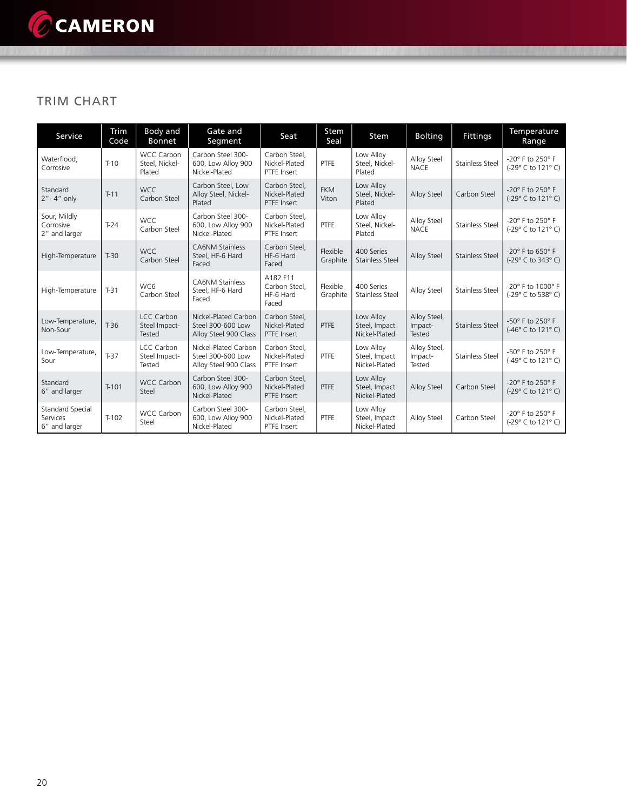

## TRIM CHART

| Service                                              | Trim<br>Code | Body and<br><b>Bonnet</b>                     | Gate and<br>Segment                                                | Seat                                            | <b>Stem</b><br>Seal  | Stem                                        | <b>Bolting</b>                    | <b>Fittings</b>        | Temperature<br>Range                          |
|------------------------------------------------------|--------------|-----------------------------------------------|--------------------------------------------------------------------|-------------------------------------------------|----------------------|---------------------------------------------|-----------------------------------|------------------------|-----------------------------------------------|
| Waterflood,<br>Corrosive                             | $T-10$       | <b>WCC Carbon</b><br>Steel, Nickel-<br>Plated | Carbon Steel 300-<br>600, Low Alloy 900<br>Nickel-Plated           | Carbon Steel.<br>Nickel-Plated<br>PTFE Insert   | <b>PTFE</b>          | Low Alloy<br>Steel, Nickel-<br>Plated       | Alloy Steel<br><b>NACE</b>        | <b>Stainless Steel</b> | -20° F to 250° F<br>(-29° C to 121° C)        |
| Standard<br>$2" - 4"$ only                           | $T-11$       | <b>WCC</b><br>Carbon Steel                    | Carbon Steel, Low<br>Alloy Steel, Nickel-<br>Plated                | Carbon Steel,<br>Nickel-Plated<br>PTFE Insert   | <b>FKM</b><br>Viton  | Low Alloy<br>Steel, Nickel-<br>Plated       | Alloy Steel                       | Carbon Steel           | $-20^\circ$ F to 250° F<br>(-29° C to 121° C) |
| Sour, Mildly<br>Corrosive<br>2" and larger           | $T-24$       | <b>WCC</b><br>Carbon Steel                    | Carbon Steel 300-<br>600, Low Alloy 900<br>Nickel-Plated           | Carbon Steel.<br>Nickel-Plated<br>PTFE Insert   | PTFE                 | Low Alloy<br>Steel, Nickel-<br>Plated       | Alloy Steel<br><b>NACE</b>        | <b>Stainless Steel</b> | -20° F to 250° F<br>(-29° C to 121° C)        |
| High-Temperature                                     | $T-30$       | WCC.<br>Carbon Steel                          | <b>CA6NM Stainless</b><br>Steel, HF-6 Hard<br>Faced                | Carbon Steel,<br>HF-6 Hard<br>Faced             | Flexible<br>Graphite | 400 Series<br><b>Stainless Steel</b>        | Alloy Steel                       | Stainless Steel        | $-20^\circ$ F to 650° F<br>(-29° C to 343° C) |
| High-Temperature                                     | $T-31$       | WC6<br>Carbon Steel                           | <b>CA6NM Stainless</b><br>Steel, HF-6 Hard<br>Faced                | A182 F11<br>Carbon Steel,<br>HF-6 Hard<br>Faced | Flexible<br>Graphite | 400 Series<br>Stainless Steel               | Alloy Steel                       | Stainless Steel        | -20° F to 1000° F<br>(-29° C to 538° C)       |
| Low-Temperature,<br>Non-Sour                         | $T-36$       | LCC Carbon<br>Steel Impact-<br>Tested         | Nickel-Plated Carbon<br>Steel 300-600 Low<br>Alloy Steel 900 Class | Carbon Steel.<br>Nickel-Plated<br>PTFE Insert   | <b>PTFE</b>          | Low Alloy<br>Steel, Impact<br>Nickel-Plated | Alloy Steel,<br>Impact-<br>Tested | <b>Stainless Steel</b> | -50° F to 250° F<br>(-46° C to 121° C)        |
| Low-Temperature,<br>Sour                             | $T-37$       | LCC Carbon<br>Steel Impact-<br>Tested         | Nickel-Plated Carbon<br>Steel 300-600 Low<br>Alloy Steel 900 Class | Carbon Steel.<br>Nickel-Plated<br>PTFE Insert   | PTFE                 | Low Alloy<br>Steel, Impact<br>Nickel-Plated | Alloy Steel,<br>Impact-<br>Tested | Stainless Steel        | $-50^\circ$ F to 250° F<br>(-49° C to 121° C) |
| Standard<br>6" and larger                            | $T-101$      | <b>WCC Carbon</b><br>Steel                    | Carbon Steel 300-<br>600, Low Alloy 900<br>Nickel-Plated           | Carbon Steel,<br>Nickel-Plated<br>PTFE Insert   | <b>PTFE</b>          | Low Alloy<br>Steel, Impact<br>Nickel-Plated | Alloy Steel                       | Carbon Steel           | -20° F to 250° F<br>(-29° C to 121° C)        |
| <b>Standard Special</b><br>Services<br>6" and larger | $T-102$      | <b>WCC Carbon</b><br>Steel                    | Carbon Steel 300-<br>600, Low Alloy 900<br>Nickel-Plated           | Carbon Steel.<br>Nickel-Plated<br>PTFE Insert   | PTFE                 | Low Alloy<br>Steel, Impact<br>Nickel-Plated | Alloy Steel                       | Carbon Steel           | $-20^\circ$ F to 250° F<br>(-29° C to 121° C) |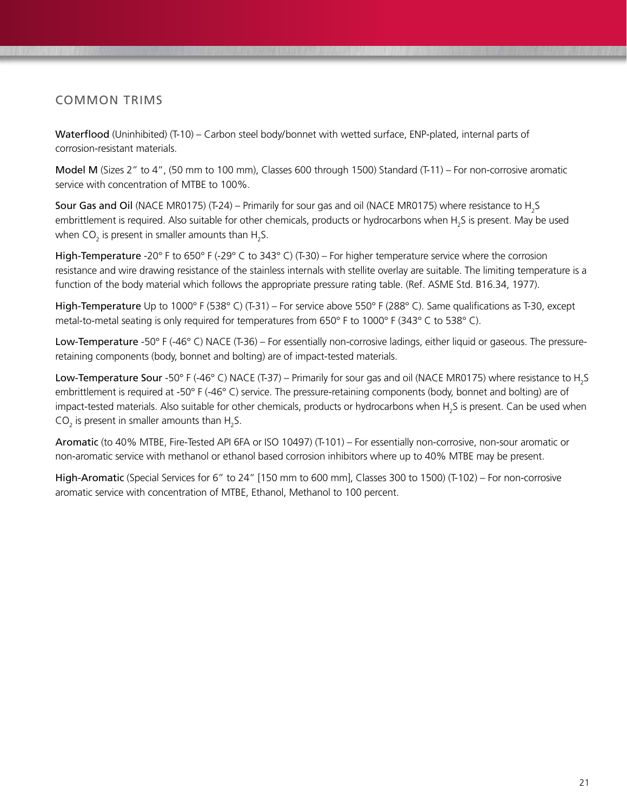#### COMMON TRIMS

Waterflood (Uninhibited) (T-10) – Carbon steel body/bonnet with wetted surface, ENP-plated, internal parts of corrosion-resistant materials.

Model M (Sizes 2" to 4", (50 mm to 100 mm), Classes 600 through 1500) Standard (T-11) – For non-corrosive aromatic service with concentration of MTBE to 100%.

**Sour Gas and Oil** (NACE MR0175) (T-24) – Primarily for sour gas and oil (NACE MR0175) where resistance to H<sub>2</sub>S embrittlement is required. Also suitable for other chemicals, products or hydrocarbons when  $H_2$ S is present. May be used when CO<sub>2</sub> is present in smaller amounts than H<sub>2</sub>S.

High-Temperature -20° F to 650° F (-29° C to 343° C) (T-30) – For higher temperature service where the corrosion resistance and wire drawing resistance of the stainless internals with stellite overlay are suitable. The limiting temperature is a function of the body material which follows the appropriate pressure rating table. (Ref. ASME Std. B16.34, 1977).

High-Temperature Up to 1000° F (538° C) (T-31) – For service above 550° F (288° C). Same qualifications as T-30, except metal-to-metal seating is only required for temperatures from 650° F to 1000° F (343° C to 538° C).

Low-Temperature -50° F (-46° C) NACE (T-36) – For essentially non-corrosive ladings, either liquid or gaseous. The pressureretaining components (body, bonnet and bolting) are of impact-tested materials.

Low-Temperature Sour -50° F (-46° C) NACE (T-37) – Primarily for sour gas and oil (NACE MR0175) where resistance to H<sub>2</sub>S embrittlement is required at -50° F (-46° C) service. The pressure-retaining components (body, bonnet and bolting) are of impact-tested materials. Also suitable for other chemicals, products or hydrocarbons when H<sub>2</sub>S is present. Can be used when CO<sub>2</sub> is present in smaller amounts than  $H_2$ S.

Aromatic (to 40% MTBE, Fire-Tested API 6FA or ISO 10497) (T-101) – For essentially non-corrosive, non-sour aromatic or non-aromatic service with methanol or ethanol based corrosion inhibitors where up to 40% MTBE may be present.

High-Aromatic (Special Services for 6" to 24" [150 mm to 600 mm], Classes 300 to 1500) (T-102) – For non-corrosive aromatic service with concentration of MTBE, Ethanol, Methanol to 100 percent.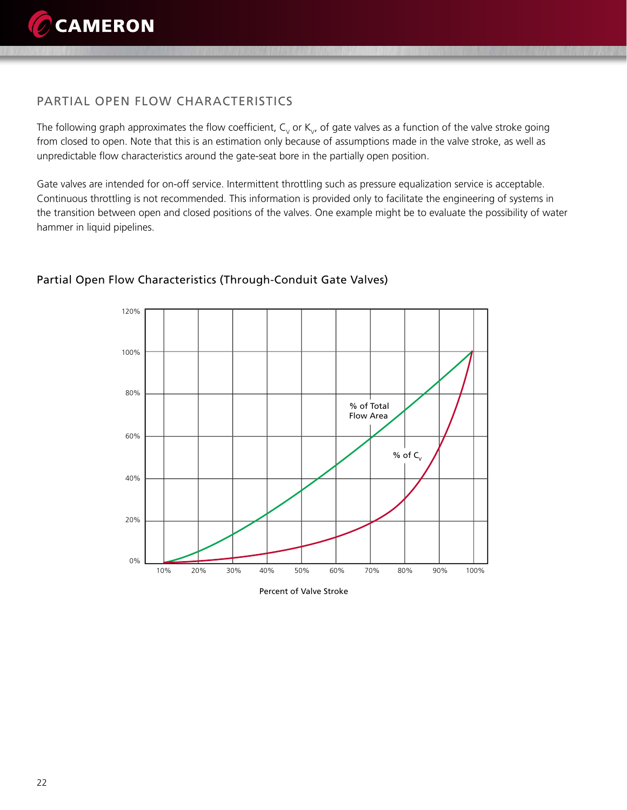### PARTIAL OPEN FLOW CHARACTERISTICS

The following graph approximates the flow coefficient,  $C_v$  or  $K_v$ , of gate valves as a function of the valve stroke going from closed to open. Note that this is an estimation only because of assumptions made in the valve stroke, as well as unpredictable flow characteristics around the gate-seat bore in the partially open position.

Gate valves are intended for on-off service. Intermittent throttling such as pressure equalization service is acceptable. Continuous throttling is not recommended. This information is provided only to facilitate the engineering of systems in the transition between open and closed positions of the valves. One example might be to evaluate the possibility of water hammer in liquid pipelines.



#### Partial Open Flow Characteristics (Through-Conduit Gate Valves)

Percent of Valve Stroke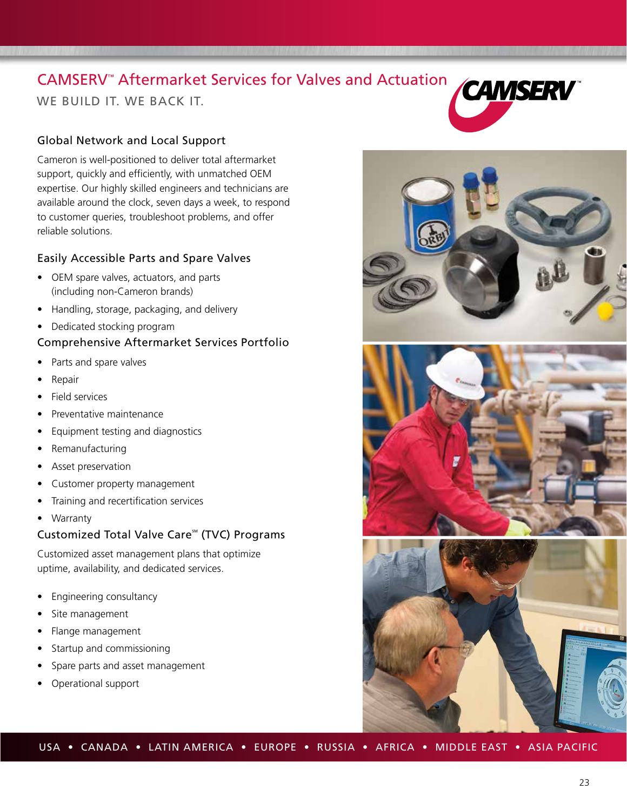# CAMSERV™ Aftermarket Services for Valves and Actuation

WE BUILD IT. WE BACK IT.

#### Global Network and Local Support

Cameron is well-positioned to deliver total aftermarket support, quickly and efficiently, with unmatched OEM expertise. Our highly skilled engineers and technicians are available around the clock, seven days a week, to respond to customer queries, troubleshoot problems, and offer reliable solutions.

#### Easily Accessible Parts and Spare Valves

- OEM spare valves, actuators, and parts (including non-Cameron brands)
- Handling, storage, packaging, and delivery
- Dedicated stocking program

#### Comprehensive Aftermarket Services Portfolio

- Parts and spare valves
- **Repair**
- Field services
- Preventative maintenance
- Equipment testing and diagnostics
- Remanufacturing
- Asset preservation
- Customer property management
- Training and recertification services
- Warranty

#### Customized Total Valve Care<sup>®M</sup> (TVC) Programs

Customized asset management plans that optimize uptime, availability, and dedicated services.

- Engineering consultancy
- Site management
- Flange management
- Startup and commissioning
- Spare parts and asset management
- Operational support





#### USA • CANADA • LATIN AMERICA • EUROPE • RUSSIA • AFRICA • MIDDLE EAST • ASIA PACIFIC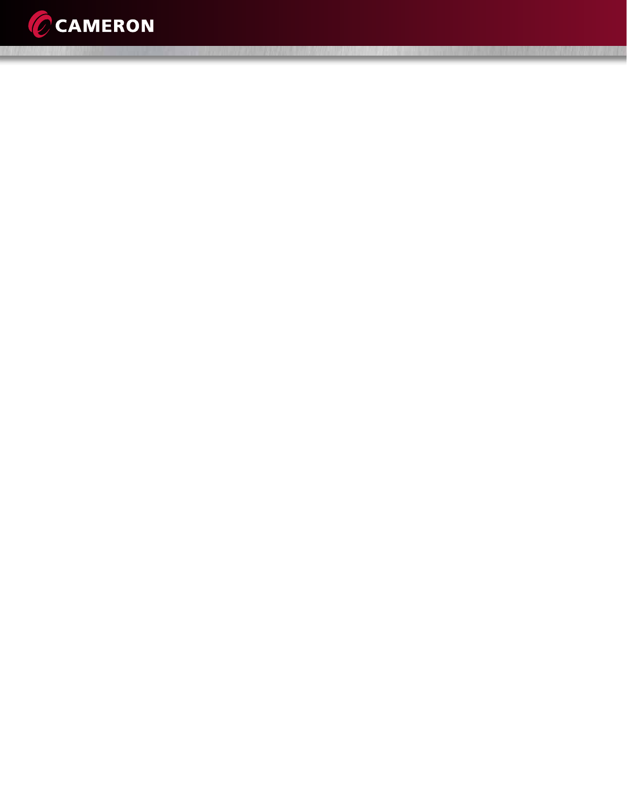